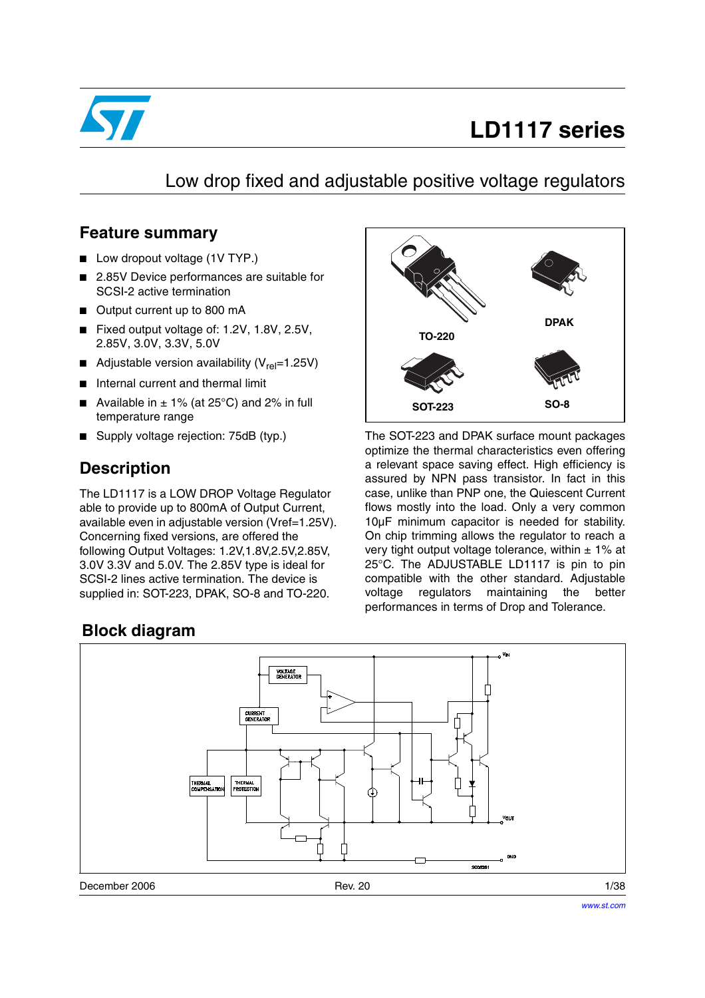

# **LD1117 series**

## Low drop fixed and adjustable positive voltage regulators

### **Feature summary**

- Low dropout voltage (1V TYP.)
- 2.85V Device performances are suitable for SCSI-2 active termination
- Output current up to 800 mA
- Fixed output voltage of: 1.2V, 1.8V, 2.5V, 2.85V, 3.0V, 3.3V, 5.0V
- Adjustable version availability ( $V_{rel}$ =1.25V)
- Internal current and thermal limit
- Available in  $\pm$  1% (at 25°C) and 2% in full temperature range
- Supply voltage rejection: 75dB (typ.)

## **Description**

The LD1117 is a LOW DROP Voltage Regulator able to provide up to 800mA of Output Current, available even in adjustable version (Vref=1.25V). Concerning fixed versions, are offered the following Output Voltages: 1.2V,1.8V,2.5V,2.85V, 3.0V 3.3V and 5.0V. The 2.85V type is ideal for SCSI-2 lines active termination. The device is supplied in: SOT-223, DPAK, SO-8 and TO-220.

### **Block diagram**



The SOT-223 and DPAK surface mount packages optimize the thermal characteristics even offering a relevant space saving effect. High efficiency is assured by NPN pass transistor. In fact in this case, unlike than PNP one, the Quiescent Current flows mostly into the load. Only a very common 10µF minimum capacitor is needed for stability. On chip trimming allows the regulator to reach a very tight output voltage tolerance, within  $\pm$  1% at 25°C. The ADJUSTABLE LD1117 is pin to pin compatible with the other standard. Adjustable voltage regulators maintaining the better performances in terms of Drop and Tolerance.



December 2006 **Rev. 20** Rev. 20 **Rev. 20** Rev. 20 **Rev. 20** 1/38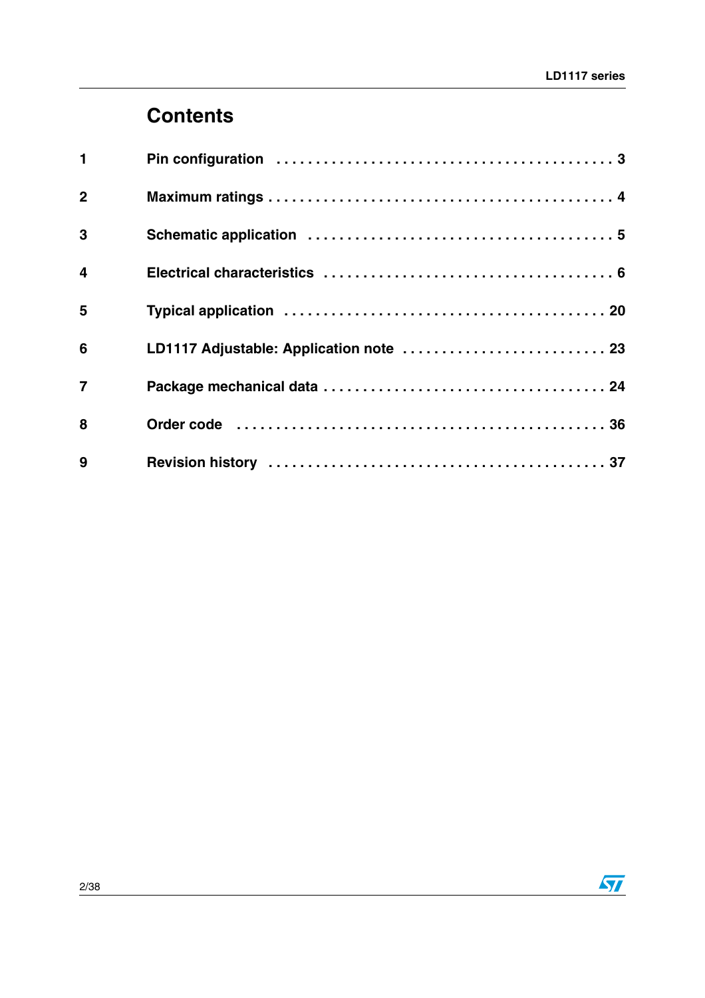# **Contents**

| $\mathbf 1$             |                                         |
|-------------------------|-----------------------------------------|
| $\overline{2}$          |                                         |
| 3                       |                                         |
| $\overline{\mathbf{4}}$ |                                         |
| 5                       |                                         |
| 6                       | LD1117 Adjustable: Application note  23 |
| $\overline{7}$          |                                         |
| 8                       |                                         |
| 9                       |                                         |

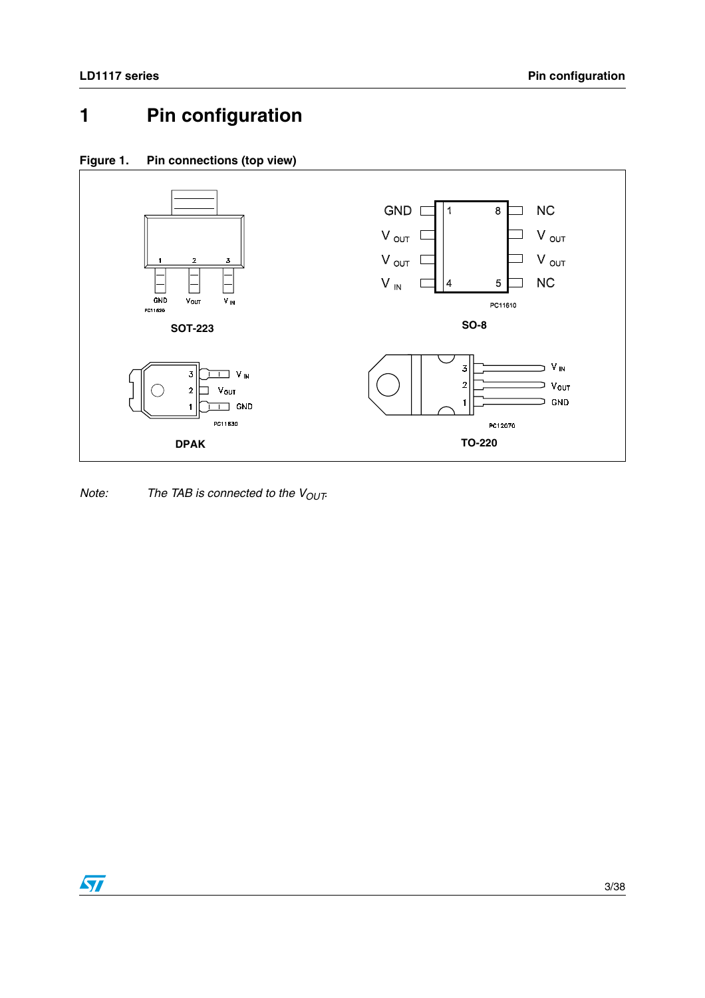# <span id="page-2-0"></span>**1 Pin configuration**





Note: The TAB is connected to the  $V_{OUT}$ 

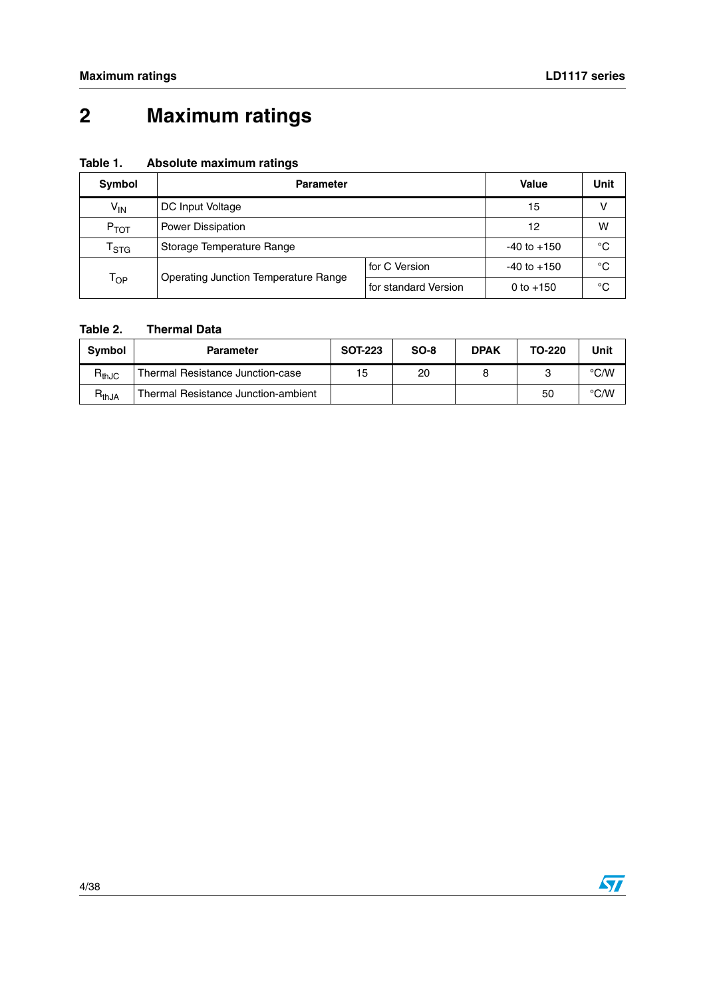# <span id="page-3-0"></span>**2 Maximum ratings**

| Table 1. | Absolute maximum ratings |  |
|----------|--------------------------|--|
|          |                          |  |

| Symbol                    | <b>Parameter</b>                                                    | <b>Value</b>  | Unit            |             |  |
|---------------------------|---------------------------------------------------------------------|---------------|-----------------|-------------|--|
| $V_{IN}$                  | DC Input Voltage                                                    | 15            | v               |             |  |
| $P_{TOT}$                 | Power Dissipation                                                   |               |                 |             |  |
| $\mathsf{T}_{\text{STG}}$ | Storage Temperature Range                                           |               | $-40$ to $+150$ | $^{\circ}C$ |  |
|                           |                                                                     | for C Version | $-40$ to $+150$ | $^{\circ}C$ |  |
| $T_{OP}$                  | <b>Operating Junction Temperature Range</b><br>for standard Version |               | 0 to $+150$     | °C          |  |

#### **Table 2. Thermal Data**

| Symbol     | <b>Parameter</b>                    | <b>SOT-223</b> | $SO-8$ | <b>DPAK</b> | TO-220 | Unit |
|------------|-------------------------------------|----------------|--------|-------------|--------|------|
| $R_{thJC}$ | Thermal Resistance Junction-case    | 15             | 20     |             |        | °C/W |
| $R_{thJA}$ | Thermal Resistance Junction-ambient |                |        |             | 50     | °C/W |

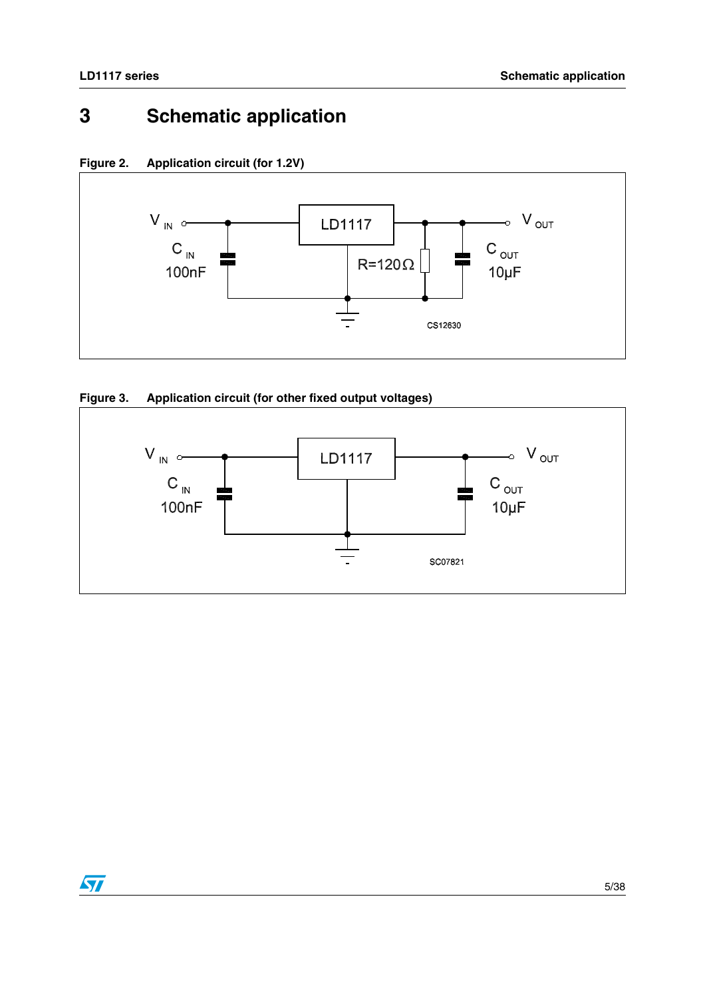## <span id="page-4-0"></span>**3 Schematic application**

**Figure 2. Application circuit (for 1.2V)**



#### **Figure 3. Application circuit (for other fixed output voltages)**

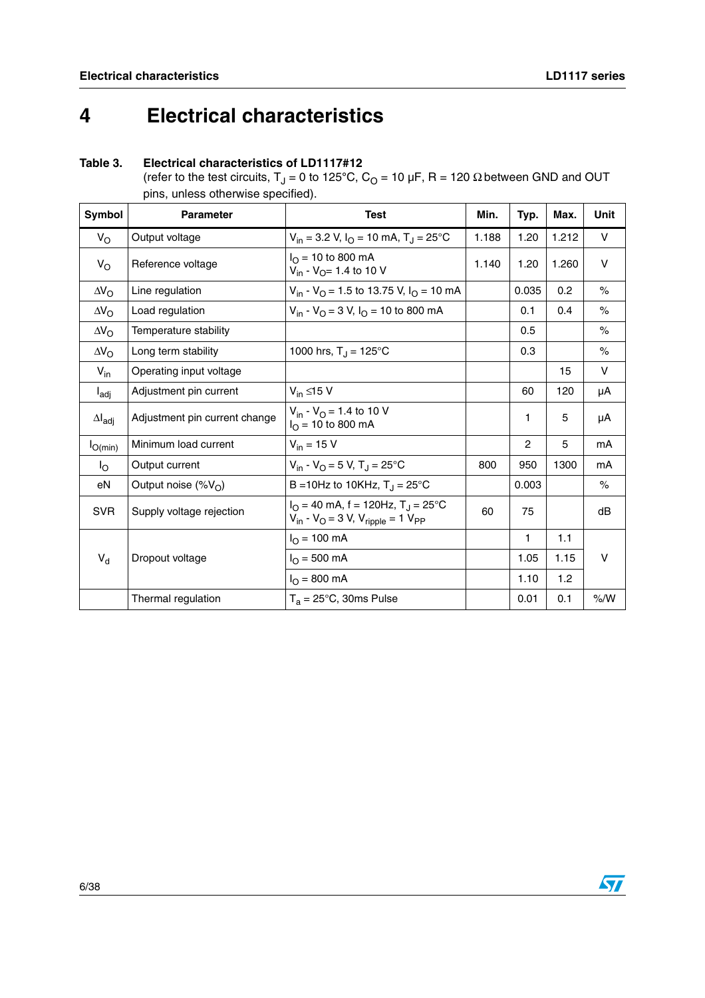# <span id="page-5-0"></span>**4 Electrical characteristics**

### **Table 3. Electrical characteristics of LD1117#12**

(refer to the test circuits,  $T_J = 0$  to 125<sup>°</sup>C,  $C_O = 10 \mu F$ , R = 120  $\Omega$  between GND and OUT pins, unless otherwise specified).

| Symbol                  | <b>Parameter</b>              | <b>Test</b>                                                                                            | Min.  | Typ.           | Max.  | <b>Unit</b> |
|-------------------------|-------------------------------|--------------------------------------------------------------------------------------------------------|-------|----------------|-------|-------------|
| $V_{\rm O}$             | Output voltage                | $V_{in}$ = 3.2 V, $I_{O}$ = 10 mA, T <sub>J</sub> = 25°C                                               | 1.188 | 1.20           | 1.212 | V           |
| $V_{\rm O}$             | Reference voltage             | $I_{\Omega}$ = 10 to 800 mA<br>$V_{in}$ - $V_{O}$ = 1.4 to 10 V                                        | 1.140 | 1.20           | 1.260 | $\vee$      |
| $\Delta V_{\rm O}$      | Line regulation               | $V_{in}$ - $V_{O}$ = 1.5 to 13.75 V, $I_{O}$ = 10 mA                                                   |       | 0.035          | 0.2   | $\%$        |
| $\Delta V_{\rm O}$      | Load regulation               | $V_{in}$ - $V_{O}$ = 3 V, $I_{O}$ = 10 to 800 mA                                                       |       | 0.1            | 0.4   | $\%$        |
| $\Delta V_{\rm O}$      | Temperature stability         |                                                                                                        |       | 0.5            |       | $\%$        |
| $\Delta V_{\Omega}$     | Long term stability           | 1000 hrs, $T_J = 125^{\circ}C$                                                                         |       | 0.3            |       | $\%$        |
| $V_{in}$                | Operating input voltage       |                                                                                                        |       |                | 15    | V           |
| $I_{\text{adj}}$        | Adjustment pin current        | $V_{in} \leq 15 V$                                                                                     |       | 60             | 120   | μA          |
| $\Delta I_{\text{adj}}$ | Adjustment pin current change | $V_{in}$ - $V_{O}$ = 1.4 to 10 V<br>$I_{\text{O}}$ = 10 to 800 mA                                      |       | 1              | 5     | μA          |
| $I_{O(min)}$            | Minimum load current          | $V_{in}$ = 15 V                                                                                        |       | $\overline{2}$ | 5     | mA          |
| $I_{\rm O}$             | Output current                | $V_{in}$ - $V_{O}$ = 5 V, T <sub>J</sub> = 25°C                                                        | 800   | 950            | 1300  | mA          |
| eN                      | Output noise $(\%V_{\cap})$   | B = 10Hz to 10KHz, $T_{J}$ = 25°C                                                                      |       | 0.003          |       | $\%$        |
| <b>SVR</b>              | Supply voltage rejection      | $I_O = 40$ mA, f = 120Hz, T <sub>J</sub> = 25°C<br>$V_{in}$ - $V_{O}$ = 3 V, $V_{righte}$ = 1 $V_{PP}$ | 60    | 75             |       | dB          |
|                         |                               | $I_{\rm O}$ = 100 mA                                                                                   |       | 1              | 1.1   |             |
| $V_d$                   | Dropout voltage               | $I_{\Omega} = 500 \text{ mA}$                                                                          |       | 1.05           | 1.15  | v           |
|                         |                               | $I_{O} = 800$ mA                                                                                       |       | 1.10           | 1.2   |             |
|                         | Thermal regulation            | $T_a = 25^{\circ}$ C, 30ms Pulse                                                                       |       | 0.01           | 0.1   | % /W        |

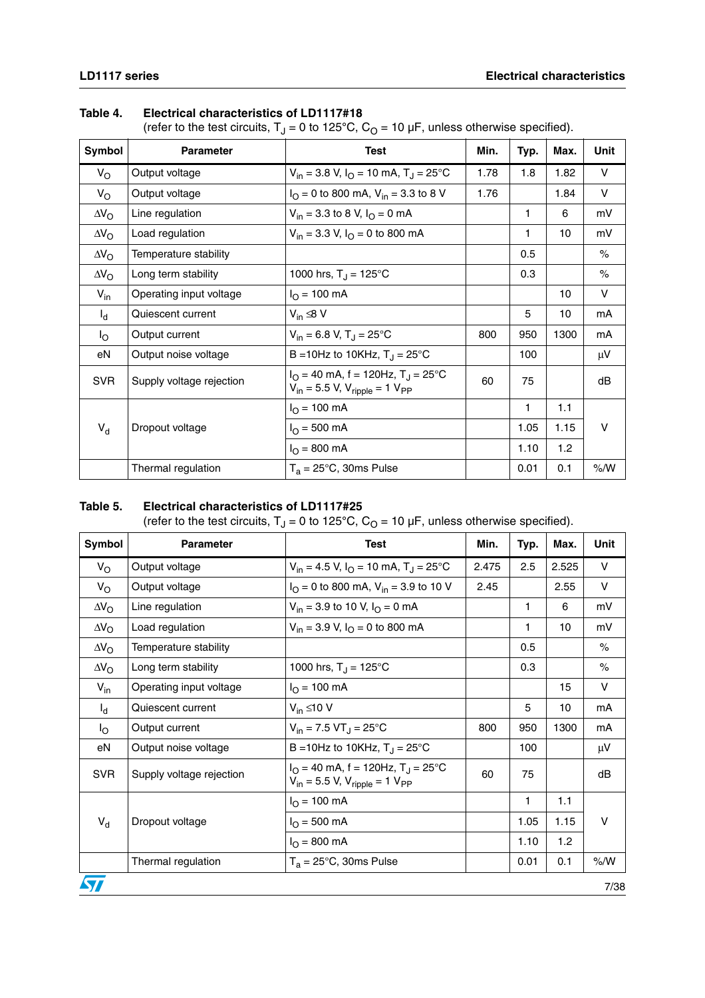#### **Table 4. Electrical characteristics of LD1117#18**

(refer to the test circuits,  $T_J = 0$  to 125°C,  $C_O = 10 \mu F$ , unless otherwise specified).

| Symbol             | <b>Parameter</b>         | <b>Test</b>                                                                                   | Min. | Typ. | Max.             | Unit    |
|--------------------|--------------------------|-----------------------------------------------------------------------------------------------|------|------|------------------|---------|
| $V_{\rm O}$        | Output voltage           | $V_{in}$ = 3.8 V, $I_{O}$ = 10 mA, $T_{J}$ = 25°C                                             | 1.78 | 1.8  | 1.82             | $\vee$  |
| $V_{\rm O}$        | Output voltage           | $I_{\text{O}}$ = 0 to 800 mA, V <sub>in</sub> = 3.3 to 8 V                                    | 1.76 |      | 1.84             | $\vee$  |
| $\Delta V_{\rm O}$ | Line regulation          | $V_{in}$ = 3.3 to 8 V, $I_{O}$ = 0 mA                                                         |      | 1    | 6                | mV      |
| $\Delta V_{\rm O}$ | Load regulation          | $V_{in}$ = 3.3 V, $I_{O}$ = 0 to 800 mA                                                       |      | 1    | 10               | mV      |
| $\Delta V_{\rm O}$ | Temperature stability    |                                                                                               |      | 0.5  |                  | $\%$    |
| $\Delta V_{\rm O}$ | Long term stability      | 1000 hrs, $T_{\rm J} = 125^{\circ}$ C                                                         |      | 0.3  |                  | $\%$    |
| $V_{in}$           | Operating input voltage  | $I_{\Omega} = 100 \text{ mA}$                                                                 |      |      | 10               | $\vee$  |
| $I_{d}$            | Quiescent current        | $V_{in} \leq 8 V$                                                                             |      | 5    | 10               | mA      |
| Ιo                 | Output current           | $V_{in} = 6.8 V, T_{d} = 25^{\circ}C$                                                         | 800  | 950  | 1300             | mA      |
| eN                 | Output noise voltage     | B = 10Hz to 10KHz, $T_{J}$ = 25°C                                                             |      | 100  |                  | $\mu$ V |
| <b>SVR</b>         | Supply voltage rejection | $IO = 40$ mA, f = 120Hz, T <sub>J</sub> = 25°C<br>$V_{in}$ = 5.5 V, $V_{ripole}$ = 1 $V_{PP}$ | 60   | 75   |                  | dB      |
|                    |                          | $I_{\Omega}$ = 100 mA                                                                         |      | 1    | 1.1              |         |
| $V_d$              | Dropout voltage          | $I_{O} = 500$ mA                                                                              |      | 1.05 | 1.15             | $\vee$  |
|                    |                          | $I_{\Omega} = 800 \text{ mA}$                                                                 |      | 1.10 | 1.2 <sub>1</sub> |         |
|                    | Thermal regulation       | $T_a = 25^{\circ}$ C, 30ms Pulse                                                              |      | 0.01 | 0.1              | % /W    |

#### **Table 5. Electrical characteristics of LD1117#25**

(refer to the test circuits,  $T_J = 0$  to 125<sup>°</sup>C,  $C_O = 10 \mu F$ , unless otherwise specified).

| Symbol             | <b>Parameter</b>         | <b>Test</b>                                                                                                        | Min.  | Typ. | Max.  | Unit    |
|--------------------|--------------------------|--------------------------------------------------------------------------------------------------------------------|-------|------|-------|---------|
| $V_{\rm O}$        | Output voltage           | $V_{in}$ = 4.5 V, $I_{O}$ = 10 mA, $T_{J}$ = 25°C                                                                  | 2.475 | 2.5  | 2.525 | V       |
| $V_{\rm O}$        | Output voltage           | $I_{\text{O}}$ = 0 to 800 mA, V <sub>in</sub> = 3.9 to 10 V                                                        | 2.45  |      | 2.55  | V       |
| $\Delta V_{\rm O}$ | Line regulation          | $V_{in}$ = 3.9 to 10 V, $I_{\Omega}$ = 0 mA                                                                        |       | 1    | 6     | mV      |
| $\Delta V_{\rm O}$ | Load regulation          | $V_{in}$ = 3.9 V, $I_{O}$ = 0 to 800 mA                                                                            |       | 1    | 10    | mV      |
| $\Delta V_{\rm O}$ | Temperature stability    |                                                                                                                    |       | 0.5  |       | $\%$    |
| $\Delta V_{\rm O}$ | Long term stability      | 1000 hrs, $T_{\rm J} = 125^{\circ}$ C                                                                              |       | 0.3  |       | $\%$    |
| $V_{in}$           | Operating input voltage  | $I_{\text{O}} = 100 \text{ mA}$                                                                                    |       |      | 15    | $\vee$  |
| $I_d$              | Quiescent current        | $V_{in} \leq 10 V$                                                                                                 |       | 5    | 10    | mA      |
| $I_{\rm O}$        | Output current           | $V_{in}$ = 7.5 VT <sub>J</sub> = 25°C                                                                              | 800   | 950  | 1300  | mA      |
| eN                 | Output noise voltage     | B = 10Hz to 10KHz, $T_J = 25^{\circ}C$                                                                             |       | 100  |       | $\mu$ V |
| <b>SVR</b>         | Supply voltage rejection | $I_{\Omega}$ = 40 mA, f = 120Hz, T <sub>J</sub> = 25 <sup>o</sup> C<br>$V_{in}$ = 5.5 V, $V_{ripole}$ = 1 $V_{PP}$ | 60    | 75   |       | dB      |
|                    |                          | $I_{\rm O}$ = 100 mA                                                                                               |       | 1    | 1.1   |         |
| $V_{d}$            | Dropout voltage          | $I_{\Omega} = 500 \text{ mA}$                                                                                      |       | 1.05 | 1.15  | V       |
|                    |                          | $I_{\Omega} = 800 \text{ mA}$                                                                                      |       | 1.10 | 1.2   |         |
|                    | Thermal regulation       | $T_a = 25^{\circ}$ C, 30ms Pulse                                                                                   |       | 0.01 | 0.1   | $\%$ /W |
|                    |                          |                                                                                                                    |       |      |       | 7/38    |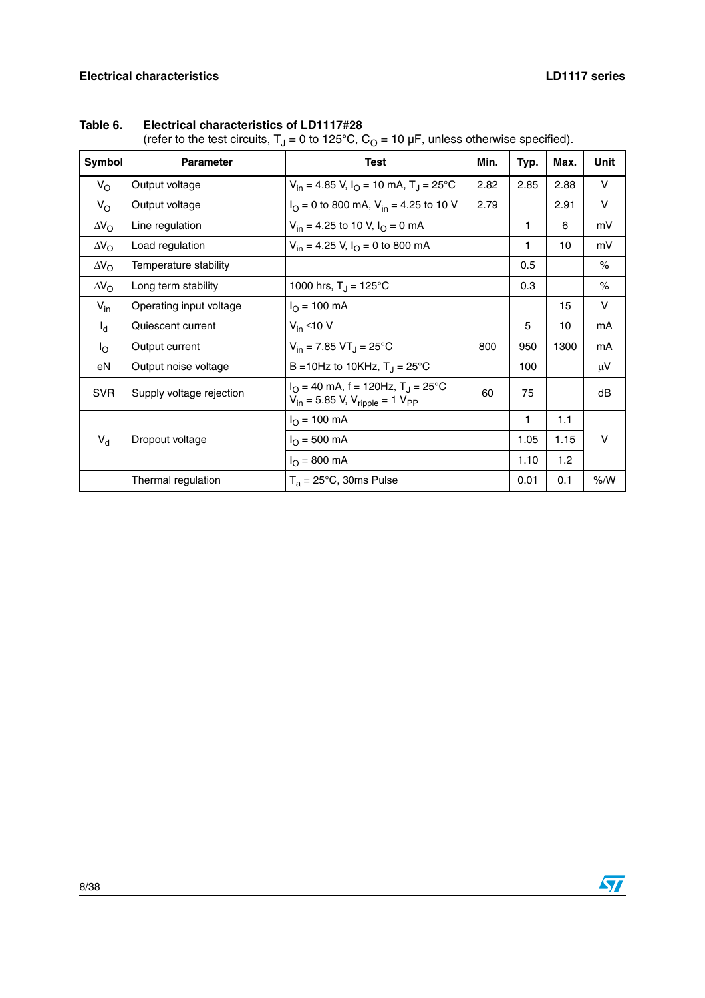| Symbol             | <b>Parameter</b>         | <b>Test</b>                                                                                            | Min. | Typ. | Max. | Unit    |
|--------------------|--------------------------|--------------------------------------------------------------------------------------------------------|------|------|------|---------|
| $V_{\rm O}$        | Output voltage           | $V_{in}$ = 4.85 V, $I_{O}$ = 10 mA, T <sub>J</sub> = 25°C                                              | 2.82 | 2.85 | 2.88 | $\vee$  |
| $V_{\rm O}$        | Output voltage           | $IO = 0$ to 800 mA, $Vin = 4.25$ to 10 V                                                               | 2.79 |      | 2.91 | $\vee$  |
| $\Delta V_{\rm O}$ | Line regulation          | $V_{in}$ = 4.25 to 10 V, $I_{\Omega}$ = 0 mA                                                           |      | 1    | 6    | mV      |
| $\Delta V_{\rm O}$ | Load regulation          | $V_{in}$ = 4.25 V, $I_{\Omega}$ = 0 to 800 mA                                                          |      | 1    | 10   | mV      |
| $\Delta V_{\rm O}$ | Temperature stability    |                                                                                                        |      | 0.5  |      | $\%$    |
| $\Delta V_{\rm O}$ | Long term stability      | 1000 hrs, $T_J = 125^{\circ}C$                                                                         |      | 0.3  |      | $\%$    |
| $V_{in}$           | Operating input voltage  | $I_{\Omega}$ = 100 mA                                                                                  |      |      | 15   | $\vee$  |
| $I_{d}$            | Quiescent current        | $V_{in} \leq 10 V$                                                                                     |      | 5    | 10   | mA      |
| l <sub>O</sub>     | Output current           | $V_{in}$ = 7.85 VT <sub>J</sub> = 25 °C                                                                | 800  | 950  | 1300 | mA      |
| eN                 | Output noise voltage     | B = 10Hz to 10KHz, $T_{\rm J}$ = 25°C                                                                  |      | 100  |      | $\mu$ V |
| <b>SVR</b>         | Supply voltage rejection | $I_{\Omega}$ = 40 mA, f = 120Hz, T <sub>J</sub> = 25°C<br>$V_{in}$ = 5.85 V, $V_{ripole}$ = 1 $V_{PP}$ | 60   | 75   |      | dB      |
|                    |                          | $I_{\Omega}$ = 100 mA                                                                                  |      | 1    | 1.1  |         |
| $V_{d}$            | Dropout voltage          | $I_{\Omega}$ = 500 mA                                                                                  |      | 1.05 | 1.15 | $\vee$  |
|                    |                          | $I_{\Omega} = 800 \text{ mA}$                                                                          |      | 1.10 | 1.2  |         |
|                    | Thermal regulation       | $T_a = 25^{\circ}$ C, 30ms Pulse                                                                       |      | 0.01 | 0.1  | % /W    |

#### **Table 6. Electrical characteristics of LD1117#28**

(refer to the test circuits,  $T_J = 0$  to 125<sup>°</sup>C,  $C_O = 10 \mu F$ , unless otherwise specified).

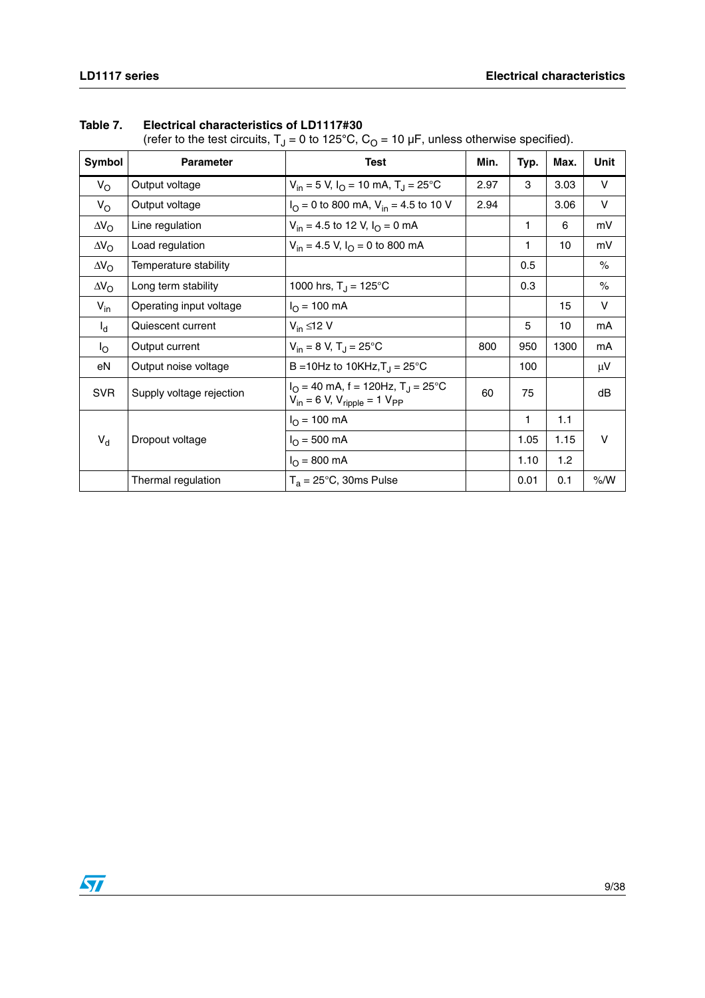| Symbol             | <b>Parameter</b>         | <b>Test</b>                                                                              | Min. | Typ. | Max. | Unit   |
|--------------------|--------------------------|------------------------------------------------------------------------------------------|------|------|------|--------|
| $V_{\rm O}$        | Output voltage           | $V_{in}$ = 5 V, I <sub>O</sub> = 10 mA, T <sub>J</sub> = 25°C                            | 2.97 | 3    | 3.03 | V      |
| $V_{\rm O}$        | Output voltage           | $IO = 0$ to 800 mA, $Vin = 4.5$ to 10 V                                                  | 2.94 |      | 3.06 | $\vee$ |
| $\Delta V_{\rm O}$ | Line regulation          | $V_{in}$ = 4.5 to 12 V, $I_{O}$ = 0 mA                                                   |      | 1    | 6    | mV     |
| $\Delta V_{\rm O}$ | Load regulation          | $V_{in}$ = 4.5 V, $I_{O}$ = 0 to 800 mA                                                  |      | 1    | 10   | mV     |
| $\Delta V_{\rm O}$ | Temperature stability    |                                                                                          |      | 0.5  |      | $\%$   |
| $\Delta V_{\rm O}$ | Long term stability      | 1000 hrs, $T_J = 125^{\circ}C$                                                           |      | 0.3  |      | $\%$   |
| $V_{in}$           | Operating input voltage  | $I_{\Omega}$ = 100 mA                                                                    |      |      | 15   | $\vee$ |
| $I_d$              | Quiescent current        | $V_{in} \leq 12 V$                                                                       |      | 5    | 10   | mA     |
| $I_{\rm O}$        | Output current           | $V_{in} = 8 V$ , T <sub>J</sub> = 25°C                                                   | 800  | 950  | 1300 | mA     |
| eN                 | Output noise voltage     | B = 10Hz to 10KHz, $T_{\rm J}$ = 25°C                                                    |      | 100  |      | μV     |
| <b>SVR</b>         | Supply voltage rejection | $I_O = 40$ mA, f = 120Hz, T <sub>J</sub> = 25°C<br>$V_{in} = 6 V, V_{ripole} = 1 V_{PP}$ | 60   | 75   |      | dB     |
|                    |                          | $I_{O} = 100$ mA                                                                         |      | 1    | 1.1  |        |
| $V_d$              | Dropout voltage          | $I_{\Omega} = 500 \text{ mA}$                                                            |      | 1.05 | 1.15 | V      |
|                    |                          | $I_{\Omega} = 800 \text{ mA}$                                                            |      | 1.10 | 1.2  |        |
|                    | Thermal regulation       | $T_a = 25^{\circ}$ C, 30ms Pulse                                                         |      | 0.01 | 0.1  | % /W   |

### **Table 7. Electrical characteristics of LD1117#30**

(refer to the test circuits,  $T_1 = 0$  to 125<sup>°</sup>C,  $C_0 = 10 \mu F$ , unless otherwise specified).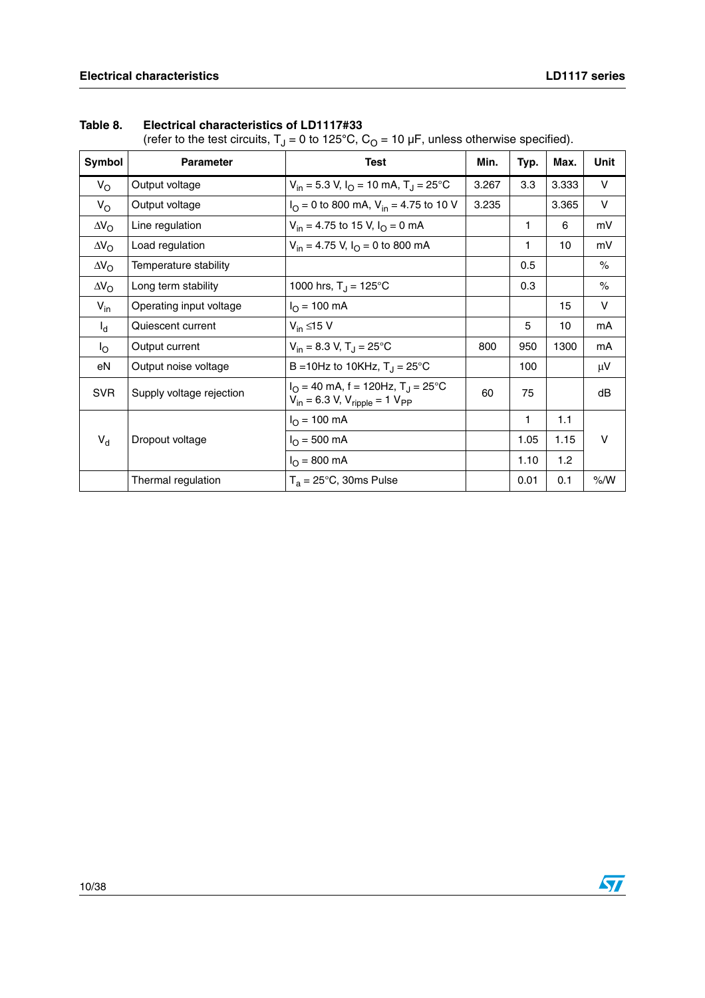| Symbol             | <b>Parameter</b>         | <b>Test</b>                                                                                       | Min.  | Typ. | Max.  | Unit    |
|--------------------|--------------------------|---------------------------------------------------------------------------------------------------|-------|------|-------|---------|
| $V_{\rm O}$        | Output voltage           | $V_{in}$ = 5.3 V, $I_{O}$ = 10 mA, T <sub>J</sub> = 25 °C                                         | 3.267 | 3.3  | 3.333 | V       |
| $V_{\rm O}$        | Output voltage           | $IO = 0$ to 800 mA, $Vin = 4.75$ to 10 V                                                          | 3.235 |      | 3.365 | $\vee$  |
| $\Delta V_{\rm O}$ | Line regulation          | $V_{in}$ = 4.75 to 15 V, $I_{\Omega}$ = 0 mA                                                      |       | 1    | 6     | mV      |
| $\Delta V_{\rm O}$ | Load regulation          | $V_{in}$ = 4.75 V, $I_{\Omega}$ = 0 to 800 mA                                                     |       | 1    | 10    | mV      |
| $\Delta V_{\rm O}$ | Temperature stability    |                                                                                                   |       | 0.5  |       | $\%$    |
| $\Delta V_{\rm O}$ | Long term stability      | 1000 hrs, $T_{\rm J} = 125^{\circ}$ C                                                             |       | 0.3  |       | $\%$    |
| $V_{in}$           | Operating input voltage  | $I_{\odot}$ = 100 mA                                                                              |       |      | 15    | $\vee$  |
| $I_d$              | Quiescent current        | $V_{in} \leq 15 V$                                                                                |       | 5    | 10    | mA      |
| l <sub>O</sub>     | Output current           | $V_{in}$ = 8.3 V, T <sub>J</sub> = 25 °C                                                          | 800   | 950  | 1300  | mA      |
| eN                 | Output noise voltage     | B = 10Hz to 10KHz, $T_J = 25^{\circ}$ C                                                           |       | 100  |       | $\mu$ V |
| <b>SVR</b>         | Supply voltage rejection | $I_{\Omega}$ = 40 mA, f = 120Hz, T <sub>J</sub> = 25°C<br>$V_{in} = 6.3 V, V_{ripole} = 1 V_{PP}$ | 60    | 75   |       | dB      |
|                    |                          | $I_{\Omega}$ = 100 mA                                                                             |       | 1    | 1.1   |         |
| $V_{d}$            | Dropout voltage          | $I_{\Omega} = 500 \text{ mA}$                                                                     |       | 1.05 | 1.15  | $\vee$  |
|                    |                          | $I_{\Omega} = 800 \text{ mA}$                                                                     |       | 1.10 | 1.2   |         |
|                    | Thermal regulation       | $T_a = 25^{\circ}$ C, 30ms Pulse                                                                  |       | 0.01 | 0.1   | % /W    |

### **Table 8. Electrical characteristics of LD1117#33**

(refer to the test circuits,  $T_J = 0$  to 125<sup>°</sup>C,  $C_O = 10 \mu F$ , unless otherwise specified).

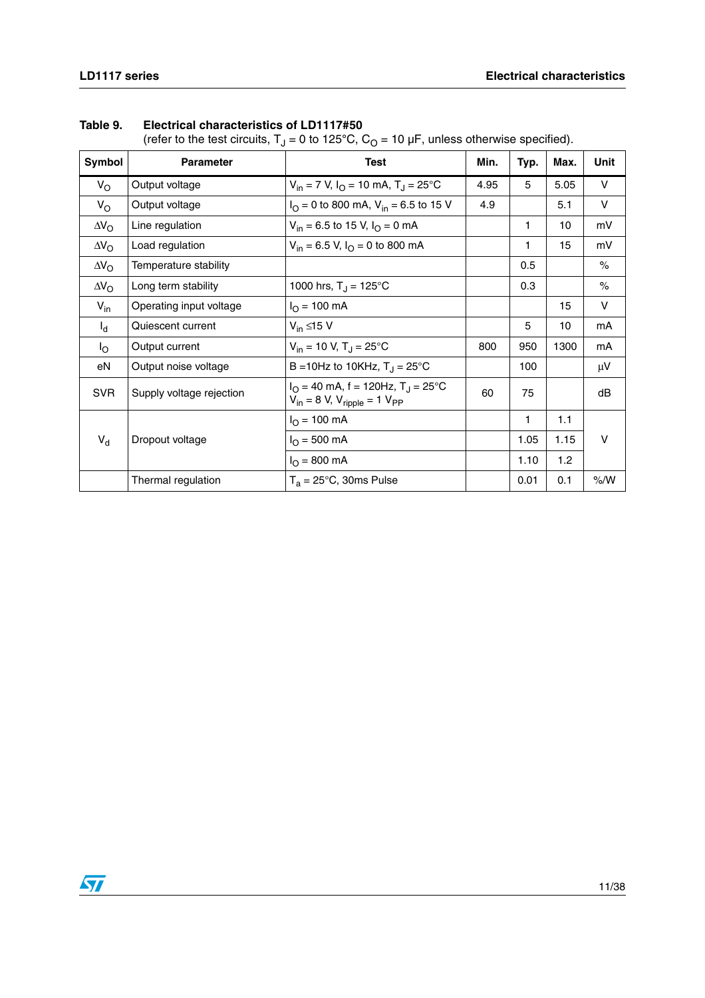| Symbol             | <b>Parameter</b>         | <b>Test</b>                                                                              | Min. | Typ. | Max. | Unit   |
|--------------------|--------------------------|------------------------------------------------------------------------------------------|------|------|------|--------|
| $V_{\rm O}$        | Output voltage           | $V_{in}$ = 7 V, $I_{O}$ = 10 mA, T <sub>J</sub> = 25°C                                   | 4.95 | 5    | 5.05 | V      |
| $V_{\rm O}$        | Output voltage           | $I_{\text{O}}$ = 0 to 800 mA, V <sub>in</sub> = 6.5 to 15 V                              | 4.9  |      | 5.1  | $\vee$ |
| $\Delta V_{\rm O}$ | Line regulation          | $V_{in}$ = 6.5 to 15 V, $I_{O}$ = 0 mA                                                   |      | 1    | 10   | mV     |
| $\Delta V_{\rm O}$ | Load regulation          | $V_{in}$ = 6.5 V, $I_{O}$ = 0 to 800 mA                                                  |      | 1    | 15   | mV     |
| $\Delta V_{\rm O}$ | Temperature stability    |                                                                                          |      | 0.5  |      | $\%$   |
| $\Delta V_{\rm O}$ | Long term stability      | 1000 hrs, $T_J = 125^{\circ}C$                                                           |      | 0.3  |      | $\%$   |
| $V_{in}$           | Operating input voltage  | $I_{\Omega}$ = 100 mA                                                                    |      |      | 15   | $\vee$ |
| $I_d$              | Quiescent current        | $V_{in} \leq 15 V$                                                                       |      | 5    | 10   | mA     |
| $I_{\rm O}$        | Output current           | $V_{in}$ = 10 V, T <sub>J</sub> = 25°C                                                   | 800  | 950  | 1300 | mA     |
| eN                 | Output noise voltage     | B = 10Hz to 10KHz, $T_{\rm J}$ = 25°C                                                    |      | 100  |      | μV     |
| <b>SVR</b>         | Supply voltage rejection | $I_O = 40$ mA, f = 120Hz, T <sub>J</sub> = 25°C<br>$V_{in} = 8 V, V_{ripole} = 1 V_{PP}$ | 60   | 75   |      | dB     |
|                    |                          | $I_{O} = 100$ mA                                                                         |      | 1    | 1.1  |        |
| $V_d$              | Dropout voltage          | $I_{\Omega} = 500 \text{ mA}$                                                            |      | 1.05 | 1.15 | V      |
|                    |                          | $I_{\Omega} = 800 \text{ mA}$                                                            |      | 1.10 | 1.2  |        |
|                    | Thermal regulation       | $T_a = 25^{\circ}$ C, 30ms Pulse                                                         |      | 0.01 | 0.1  | % /W   |

#### **Table 9. Electrical characteristics of LD1117#50**

(refer to the test circuits,  $T_1 = 0$  to 125<sup>°</sup>C,  $C_0 = 10 \mu F$ , unless otherwise specified).

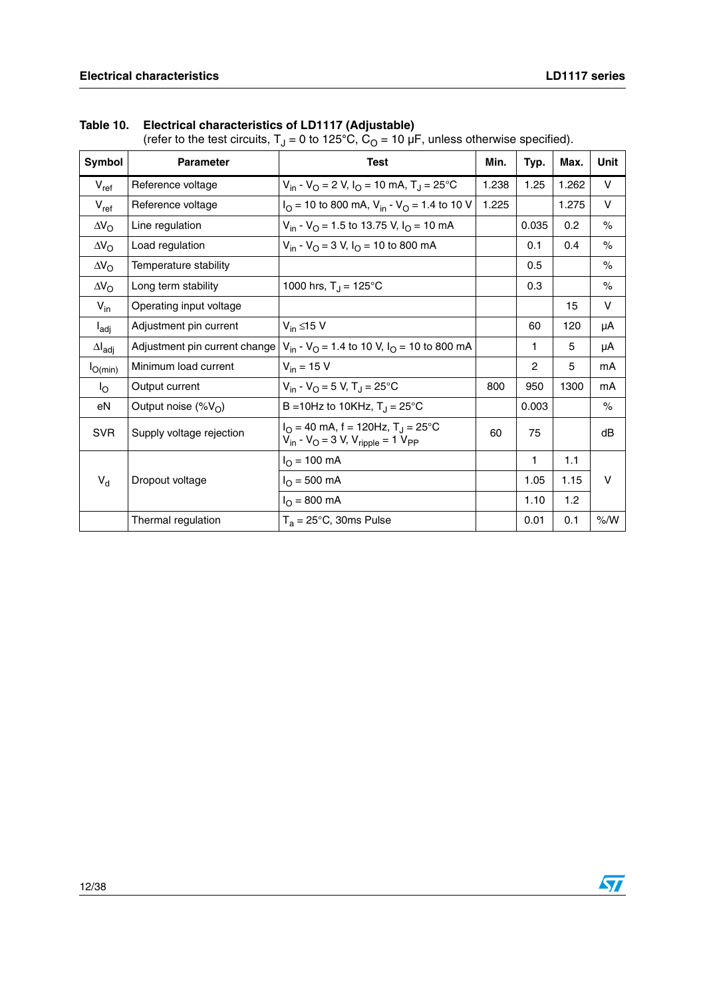| Symbol                  | <b>Parameter</b>              | <b>Test</b>                                                                                           | Min.  | Typ.  | Max.  | Unit   |
|-------------------------|-------------------------------|-------------------------------------------------------------------------------------------------------|-------|-------|-------|--------|
|                         |                               | $V_{in}$ - $V_{O}$ = 2 V, $I_{O}$ = 10 mA, T <sub>J</sub> = 25 <sup>o</sup> C                         | 1.238 | 1.25  | 1.262 | V      |
| $V_{ref}$               | Reference voltage             |                                                                                                       |       |       |       |        |
| $V_{ref}$               | Reference voltage             | $IO$ = 10 to 800 mA, V <sub>in</sub> - V <sub>O</sub> = 1.4 to 10 V                                   | 1.225 |       | 1.275 | $\vee$ |
| $\Delta V_{\rm O}$      | Line regulation               | $V_{in}$ - $V_{O}$ = 1.5 to 13.75 V, $I_{O}$ = 10 mA                                                  |       | 0.035 | 0.2   | $\%$   |
| $\Delta V_{\rm O}$      | Load regulation               | $V_{in}$ - $V_{O}$ = 3 V, $I_{O}$ = 10 to 800 mA                                                      |       | 0.1   | 0.4   | $\%$   |
| $\Delta V_{\rm O}$      | Temperature stability         |                                                                                                       |       | 0.5   |       | $\%$   |
| $\Delta V_{\rm O}$      | Long term stability           | 1000 hrs, $T_J = 125^{\circ}C$                                                                        |       | 0.3   |       | $\%$   |
| $V_{in}$                | Operating input voltage       |                                                                                                       |       |       | 15    | V      |
| $I_{\text{adj}}$        | Adjustment pin current        | $V_{in} \leq 15 V$                                                                                    |       | 60    | 120   | μA     |
| $\Delta I_{\text{adj}}$ | Adjustment pin current change | $V_{in}$ - $V_{O}$ = 1.4 to 10 V, $I_{O}$ = 10 to 800 mA                                              |       | 1     | 5     | μA     |
| $I_{O(min)}$            | Minimum load current          | $V_{in}$ = 15 V                                                                                       |       | 2     | 5     | mA     |
| $I_{\rm O}$             | Output current                | $V_{in}$ - $V_{O}$ = 5 V, T <sub>J</sub> = 25°C                                                       | 800   | 950   | 1300  | mA     |
| eN                      | Output noise $(\%V_{\cap})$   | B = 10Hz to 10KHz, $T_J = 25^{\circ}C$                                                                |       | 0.003 |       | $\%$   |
| <b>SVR</b>              | Supply voltage rejection      | $IO = 40$ mA, f = 120Hz, T <sub>J</sub> = 25°C<br>$V_{in}$ - $V_{O}$ = 3 V, $V_{righte}$ = 1 $V_{PP}$ | 60    | 75    |       | dB     |
|                         |                               | $I_{O}$ = 100 mA                                                                                      |       | 1     | 1.1   |        |
| $V_d$                   | Dropout voltage               | $I_{\rm O}$ = 500 mA                                                                                  |       | 1.05  | 1.15  | V      |
|                         |                               | $I_{\rm O} = 800 \text{ mA}$                                                                          |       | 1.10  | 1.2   |        |
|                         | Thermal regulation            | $T_a = 25^{\circ}$ C, 30ms Pulse                                                                      |       | 0.01  | 0.1   | % /W   |

**Table 10. Electrical characteristics of LD1117 (Adjustable)**

(refer to the test circuits,  $T_J$  = 0 to 125°C,  $C_O$  = 10 µF, unless otherwise specified).

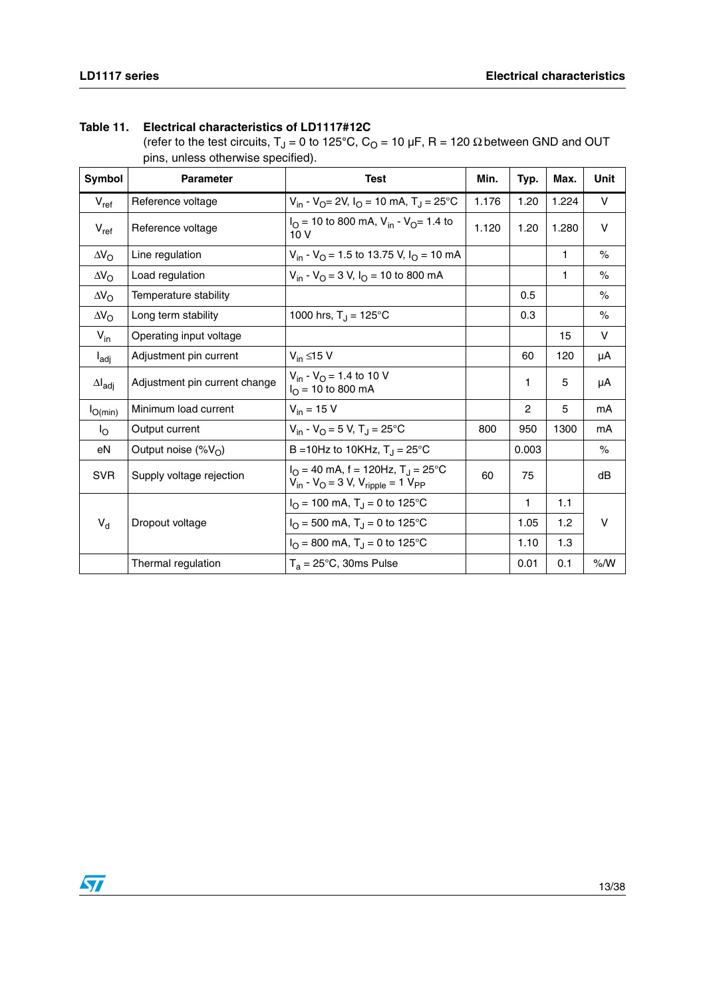**Table 11. Electrical characteristics of LD1117#12C**

(refer to the test circuits,  $T_J = 0$  to 125<sup>°</sup>C,  $C_O = 10 \mu F$ , R = 120  $\Omega$  between GND and OUT pins, unless otherwise specified).

| Symbol                  | <b>Parameter</b>              | <b>Test</b>                                                                                                   | Min.  | Typ.           | Max.  | <b>Unit</b> |
|-------------------------|-------------------------------|---------------------------------------------------------------------------------------------------------------|-------|----------------|-------|-------------|
| $V_{\sf ref}$           | Reference voltage             | $V_{in}$ - $V_{O} = 2V$ , $I_{O} = 10$ mA, $T_{J} = 25$ °C                                                    | 1.176 | 1.20           | 1.224 | $\vee$      |
| $V_{ref}$               | Reference voltage             | $IO$ = 10 to 800 mA, V <sub>in</sub> - V <sub>O</sub> = 1.4 to<br>10V                                         | 1.120 | 1.20           | 1.280 | V           |
| $\Delta V_{\rm O}$      | Line regulation               | $V_{in}$ - $V_{O}$ = 1.5 to 13.75 V, $I_{O}$ = 10 mA                                                          |       |                | 1     | $\%$        |
| $\Delta V_{\rm O}$      | Load regulation               | $V_{in}$ - $V_{O}$ = 3 V, $I_{O}$ = 10 to 800 mA                                                              |       |                | 1     | $\%$        |
| $\Delta V_{\rm O}$      | Temperature stability         |                                                                                                               |       | 0.5            |       | $\%$        |
| $\Delta V_{\rm O}$      | Long term stability           | 1000 hrs, $T_{\rm J} = 125^{\circ}$ C                                                                         |       | 0.3            |       | $\%$        |
| $V_{in}$                | Operating input voltage       |                                                                                                               |       |                | 15    | V           |
| $I_{\text{adj}}$        | Adjustment pin current        | $V_{in} \leq 15 V$                                                                                            |       | 60             | 120   | μA          |
| $\Delta I_{\text{adj}}$ | Adjustment pin current change | $V_{in}$ - $V_{O}$ = 1.4 to 10 V<br>$I_{\text{O}}$ = 10 to 800 mA                                             |       | 1              | 5     | μA          |
| $I_{O(min)}$            | Minimum load current          | $V_{in}$ = 15 V                                                                                               |       | $\overline{c}$ | 5     | mA          |
| $I_{\rm O}$             | Output current                | $V_{in} - V_{O} = 5 V$ , T <sub>.I</sub> = 25°C                                                               | 800   | 950            | 1300  | mA          |
| eN                      | Output noise $(\%V_{\cap})$   | B = 10Hz to 10KHz, $T_J = 25^{\circ}C$                                                                        |       | 0.003          |       | $\%$        |
| <b>SVR</b>              | Supply voltage rejection      | $I_{\Omega}$ = 40 mA, f = 120Hz, T <sub>J</sub> = 25°C<br>$V_{in}$ - $V_{O}$ = 3 V, $V_{ripole}$ = 1 $V_{PP}$ | 60    | 75             |       | dB          |
|                         |                               | $I_{\rm O}$ = 100 mA, T <sub>J</sub> = 0 to 125 °C                                                            |       | 1              | 1.1   |             |
| $V_d$                   | Dropout voltage               | $I_{\rm O}$ = 500 mA, T <sub>J</sub> = 0 to 125 °C                                                            |       | 1.05           | 1.2   | V           |
|                         |                               | $I_{\rm O}$ = 800 mA, T <sub>J</sub> = 0 to 125 °C                                                            |       | 1.10           | 1.3   |             |
|                         | Thermal regulation            | $T_a = 25^{\circ}C$ , 30ms Pulse                                                                              |       | 0.01           | 0.1   | % /W        |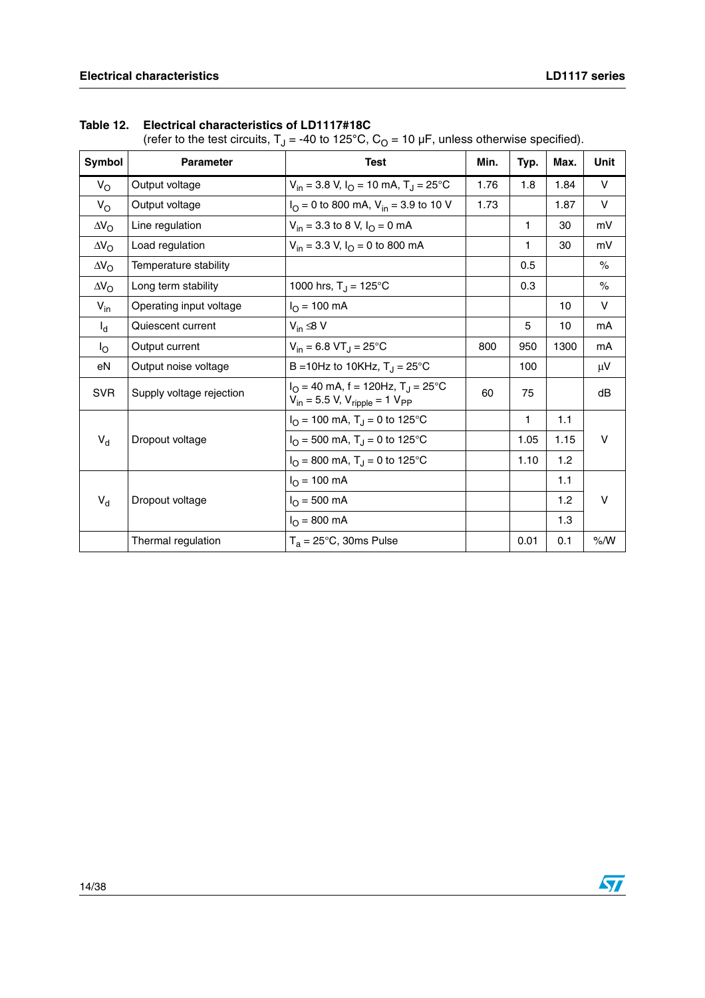| Symbol             | <b>Parameter</b>         | <b>Test</b>                                                                                           | Min. | Typ. | Max. | Unit |
|--------------------|--------------------------|-------------------------------------------------------------------------------------------------------|------|------|------|------|
| $V_{\rm O}$        | Output voltage           | $V_{in}$ = 3.8 V, $I_{O}$ = 10 mA, T <sub>J</sub> = 25 °C                                             | 1.76 | 1.8  | 1.84 | V    |
| $V_{\rm O}$        | Output voltage           | $I_{\text{O}} = 0$ to 800 mA, $V_{\text{in}} = 3.9$ to 10 V                                           | 1.73 |      | 1.87 | V    |
| $\Delta V_{\rm O}$ | Line regulation          | $V_{in}$ = 3.3 to 8 V, $I_{O}$ = 0 mA                                                                 |      | 1    | 30   | mV   |
| $\Delta V_{\rm O}$ | Load regulation          | $V_{in}$ = 3.3 V, $I_{O}$ = 0 to 800 mA                                                               |      | 1    | 30   | mV   |
| $\Delta V_{\rm O}$ | Temperature stability    |                                                                                                       |      | 0.5  |      | $\%$ |
| $\Delta V_{\rm O}$ | Long term stability      | 1000 hrs, $T_J = 125^{\circ}C$                                                                        |      | 0.3  |      | $\%$ |
| $V_{in}$           | Operating input voltage  | $I_{\Omega}$ = 100 mA                                                                                 |      |      | 10   | V    |
| $I_{d}$            | Quiescent current        | $V_{in} \leq 8 V$                                                                                     |      | 5    | 10   | mA   |
| $I_{\rm O}$        | Output current           | $V_{in} = 6.8 \text{ VT}$ <sub>J</sub> = 25 <sup>°</sup> C                                            | 800  | 950  | 1300 | mA   |
| eN                 | Output noise voltage     | B = 10Hz to 10KHz, $T_{\rm J}$ = 25°C                                                                 |      | 100  |      | μV   |
| <b>SVR</b>         | Supply voltage rejection | $I_{\Omega}$ = 40 mA, f = 120Hz, T <sub>J</sub> = 25°C<br>$V_{in}$ = 5.5 V, $V_{ripole}$ = 1 $V_{PP}$ | 60   | 75   |      | dB   |
|                    |                          | $I_{\Omega}$ = 100 mA, T <sub>J</sub> = 0 to 125 °C                                                   |      | 1    | 1.1  |      |
| $V_d$              | Dropout voltage          | $I_{\rm O}$ = 500 mA, T <sub>J</sub> = 0 to 125°C                                                     |      | 1.05 | 1.15 | V    |
|                    |                          | $I_{\Omega}$ = 800 mA, T <sub>J</sub> = 0 to 125 °C                                                   |      | 1.10 | 1.2  |      |
|                    |                          | $I_{\Omega}$ = 100 mA                                                                                 |      |      | 1.1  |      |
| $V_d$              | Dropout voltage          | $I_{\Omega} = 500 \text{ mA}$                                                                         |      |      | 1.2  | V    |
|                    |                          | $I_{O} = 800$ mA                                                                                      |      |      | 1.3  |      |
|                    | Thermal regulation       | $T_a = 25^{\circ}C$ , 30ms Pulse                                                                      |      | 0.01 | 0.1  | % /W |

|  |  | Table 12. Electrical characteristics of LD1117#18C |  |  |
|--|--|----------------------------------------------------|--|--|
|--|--|----------------------------------------------------|--|--|

(refer to the test circuits, T<sub>J</sub> = -40 to 125°C, C<sub>O</sub> = 10 µF, unless otherwise specified).

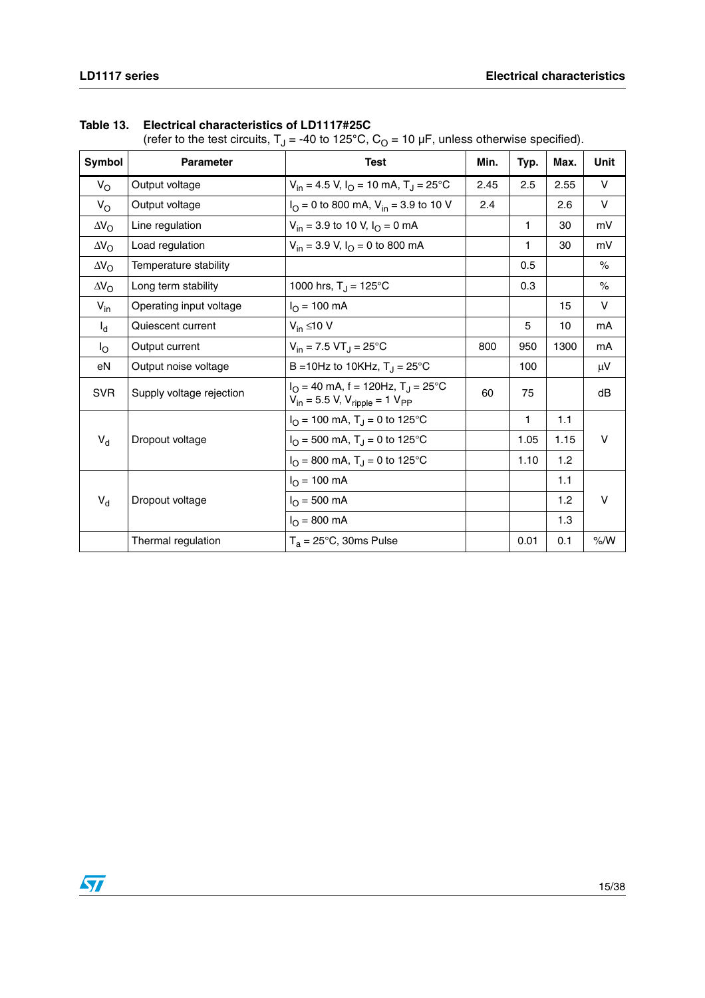| Symbol             | <b>Parameter</b>         | <b>Test</b>                                                                                   | Min. | Typ.         | Max. | Unit    |
|--------------------|--------------------------|-----------------------------------------------------------------------------------------------|------|--------------|------|---------|
| $V_{\rm O}$        | Output voltage           | $V_{in}$ = 4.5 V, I <sub>O</sub> = 10 mA, T <sub>J</sub> = 25°C                               | 2.45 | 2.5          | 2.55 | v       |
| $V_{\rm O}$        | Output voltage           | $IO = 0$ to 800 mA, $Vin = 3.9$ to 10 V                                                       | 2.4  |              | 2.6  | $\vee$  |
| $\Delta V_{\rm O}$ | Line regulation          | $V_{in}$ = 3.9 to 10 V, $I_{O}$ = 0 mA                                                        |      | $\mathbf{1}$ | 30   | mV      |
| $\Delta V_{\rm O}$ | Load regulation          | $V_{in}$ = 3.9 V, $I_{O}$ = 0 to 800 mA                                                       |      | 1            | 30   | mV      |
| $\Delta V_{\rm O}$ | Temperature stability    |                                                                                               |      | 0.5          |      | $\%$    |
| $\Delta V_{\rm O}$ | Long term stability      | 1000 hrs, $T_J = 125^{\circ}C$                                                                |      | 0.3          |      | $\%$    |
| $V_{in}$           | Operating input voltage  | $I_{\Omega}$ = 100 mA                                                                         |      |              | 15   | V       |
| $I_d$              | Quiescent current        | $V_{in} \leq 10 V$                                                                            |      | 5            | 10   | mA      |
| $I_{\rm O}$        | Output current           | $V_{in}$ = 7.5 VT <sub>J</sub> = 25°C                                                         | 800  | 950          | 1300 | mA      |
| eN                 | Output noise voltage     | B = 10Hz to 10KHz, $T_J = 25^{\circ}C$                                                        |      | 100          |      | $\mu$ V |
| <b>SVR</b>         | Supply voltage rejection | $IO = 40$ mA, f = 120Hz, T <sub>J</sub> = 25°C<br>$V_{in}$ = 5.5 V, $V_{ripple}$ = 1 $V_{PP}$ | 60   | 75           |      | dB      |
|                    |                          | $I_{\rm O}$ = 100 mA, T <sub>J</sub> = 0 to 125 °C                                            |      | 1            | 1.1  |         |
| $V_d$              | Dropout voltage          | $I_{\rm O}$ = 500 mA, T <sub>J</sub> = 0 to 125 °C                                            |      | 1.05         | 1.15 | V       |
|                    |                          | $I_{\rm O}$ = 800 mA, T <sub>J</sub> = 0 to 125 °C                                            |      | 1.10         | 1.2  |         |
|                    |                          | $I_{\rm O}$ = 100 mA                                                                          |      |              | 1.1  |         |
| $V_d$              | Dropout voltage          | $I_{\rm O}$ = 500 mA                                                                          |      |              | 1.2  | V       |
|                    |                          | $I_{\Omega} = 800 \text{ mA}$                                                                 |      |              | 1.3  |         |
|                    | Thermal regulation       | $T_a = 25^{\circ}$ C, 30ms Pulse                                                              |      | 0.01         | 0.1  | % /W    |

#### **Table 13. Electrical characteristics of LD1117#25C**

(refer to the test circuits,  $T_1 = -40$  to 125<sup>°</sup>C, C<sub>O</sub> = 10 µF, unless otherwise specified).

 $\sqrt{2}$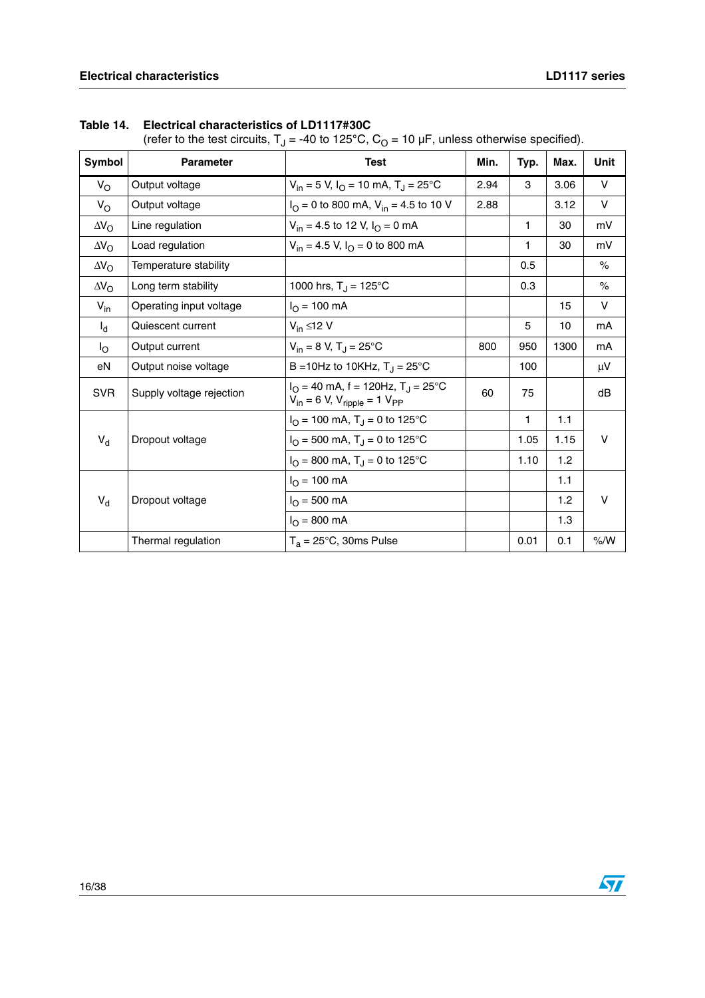| Symbol             | <b>Parameter</b>         | <b>Test</b>                                                                                     | Min. | Typ. | Max. | Unit   |
|--------------------|--------------------------|-------------------------------------------------------------------------------------------------|------|------|------|--------|
| $V_{\rm O}$        | Output voltage           | $V_{in}$ = 5 V, $I_{O}$ = 10 mA, T <sub>J</sub> = 25°C                                          | 2.94 | 3    | 3.06 | V      |
| $V_{\rm O}$        | Output voltage           | $I_{\text{O}} = 0$ to 800 mA, $V_{\text{in}} = 4.5$ to 10 V                                     | 2.88 |      | 3.12 | V      |
| $\Delta V_{\rm O}$ | Line regulation          | $V_{in}$ = 4.5 to 12 V, $I_{\Omega}$ = 0 mA                                                     |      | 1    | 30   | mV     |
| $\Delta V_{\rm O}$ | Load regulation          | $V_{in}$ = 4.5 V, $I_{O}$ = 0 to 800 mA                                                         |      | 1    | 30   | mV     |
| $\Delta V_{\rm O}$ | Temperature stability    |                                                                                                 |      | 0.5  |      | $\%$   |
| $\Delta V_{\rm O}$ | Long term stability      | 1000 hrs, $T_J = 125^{\circ}C$                                                                  |      | 0.3  |      | $\%$   |
| $V_{in}$           | Operating input voltage  | $I_{O}$ = 100 mA                                                                                |      |      | 15   | V      |
| $I_d$              | Quiescent current        | $V_{in} \leq 12$ V                                                                              |      | 5    | 10   | mA     |
| $I_{\rm O}$        | Output current           | $V_{in} = 8 V$ , $T_J = 25$ °C                                                                  | 800  | 950  | 1300 | mA     |
| eN                 | Output noise voltage     | B = 10Hz to 10KHz, $T_{\rm J}$ = 25°C                                                           |      | 100  |      | μV     |
| <b>SVR</b>         | Supply voltage rejection | $I_{\Omega}$ = 40 mA, f = 120Hz, T <sub>J</sub> = 25°C<br>$V_{in} = 6 V, V_{ripple} = 1 V_{PP}$ | 60   | 75   |      | dB     |
|                    |                          | $IO$ = 100 mA, T <sub>J</sub> = 0 to 125 °C                                                     |      | 1    | 1.1  |        |
| $V_d$              | Dropout voltage          | $I_{\Omega}$ = 500 mA, T <sub>J</sub> = 0 to 125 °C                                             |      | 1.05 | 1.15 | $\vee$ |
|                    |                          | $I_{\Omega}$ = 800 mA, T <sub>J</sub> = 0 to 125 °C                                             |      | 1.10 | 1.2  |        |
|                    |                          | $I_{\Omega}$ = 100 mA                                                                           |      |      | 1.1  |        |
| $V_d$              | Dropout voltage          | $I_{O} = 500$ mA                                                                                |      |      | 1.2  | V      |
|                    |                          | $I_{O} = 800$ mA                                                                                |      |      | 1.3  |        |
|                    | Thermal regulation       | $T_a = 25^{\circ}$ C, 30ms Pulse                                                                |      | 0.01 | 0.1  | % /W   |

| Table 14. Electrical characteristics of LD1117#30C |
|----------------------------------------------------|
|----------------------------------------------------|

(refer to the test circuits, T<sub>J</sub> = -40 to 125°C, C<sub>O</sub> = 10 µF, unless otherwise specified).

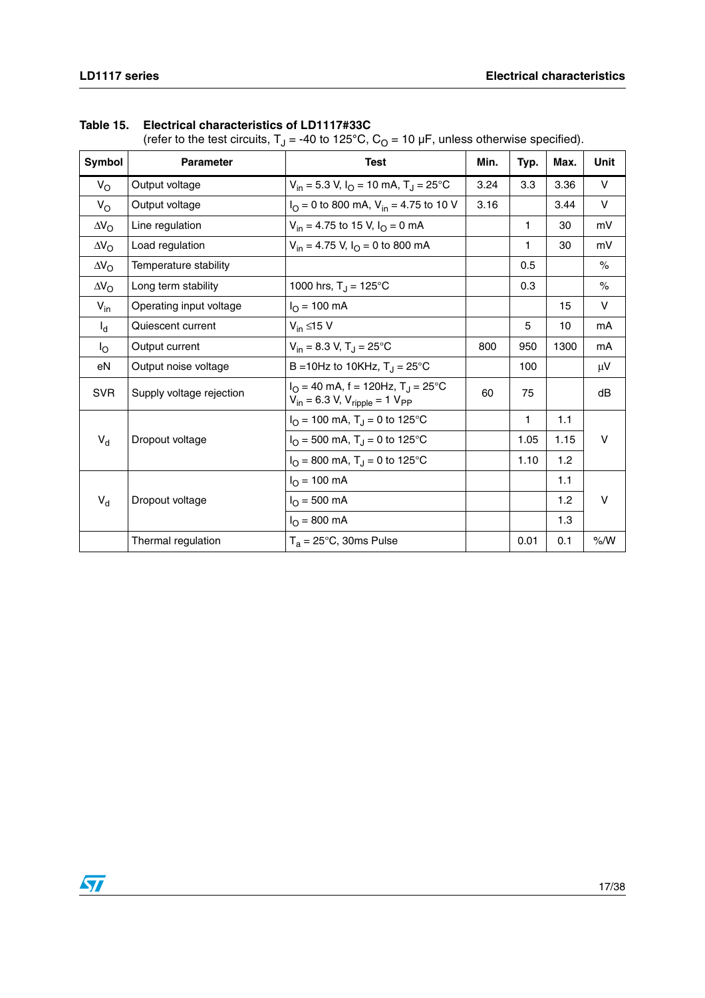| Symbol             | <b>Parameter</b>         | <b>Test</b>                                                                                | Min. | Typ. | Max. | <b>Unit</b> |
|--------------------|--------------------------|--------------------------------------------------------------------------------------------|------|------|------|-------------|
| $V_{\rm O}$        | Output voltage           | $V_{in}$ = 5.3 V, $I_{O}$ = 10 mA, T <sub>J</sub> = 25 °C                                  | 3.24 | 3.3  | 3.36 | V           |
| $V_{\rm O}$        | Output voltage           | $IO = 0$ to 800 mA, $Vin = 4.75$ to 10 V                                                   | 3.16 |      | 3.44 | $\vee$      |
| $\Delta V_{\rm O}$ | Line regulation          | $V_{in}$ = 4.75 to 15 V, $I_{O}$ = 0 mA                                                    |      | 1    | 30   | mV          |
| $\Delta V_{\rm O}$ | Load regulation          | $V_{in}$ = 4.75 V, $I_{O}$ = 0 to 800 mA                                                   |      | 1    | 30   | mV          |
| $\Delta V_{\rm O}$ | Temperature stability    |                                                                                            |      | 0.5  |      | $\%$        |
| $\Delta V_{\rm O}$ | Long term stability      | 1000 hrs, $T_J = 125^{\circ}C$                                                             |      | 0.3  |      | $\%$        |
| $V_{in}$           | Operating input voltage  | $I_{\rm O}$ = 100 mA                                                                       |      |      | 15   | $\vee$      |
| $I_d$              | Quiescent current        | $V_{in} \leq 15 V$                                                                         |      | 5    | 10   | mA          |
| $I_{\rm O}$        | Output current           | $V_{in}$ = 8.3 V, T <sub>J</sub> = 25 °C                                                   | 800  | 950  | 1300 | mA          |
| eN                 | Output noise voltage     | B = 10Hz to 10KHz, $T_{\rm J}$ = 25°C                                                      |      | 100  |      | $\mu$ V     |
| <b>SVR</b>         | Supply voltage rejection | $I_O = 40$ mA, f = 120Hz, T <sub>J</sub> = 25°C<br>$V_{in} = 6.3 V, V_{ripple} = 1 V_{PP}$ | 60   | 75   |      | dB          |
|                    |                          | $I_{\rm O}$ = 100 mA, T <sub>J</sub> = 0 to 125 °C                                         |      | 1    | 1.1  |             |
| $V_d$              | Dropout voltage          | $IO$ = 500 mA, T <sub>J</sub> = 0 to 125 °C                                                |      | 1.05 | 1.15 | V           |
|                    |                          | $I_{\rm O}$ = 800 mA, T <sub>J</sub> = 0 to 125 °C                                         |      | 1.10 | 1.2  |             |
|                    |                          | $I_{\Omega}$ = 100 mA                                                                      |      |      | 1.1  |             |
| $V_d$              | Dropout voltage          | $I_{\rm O}$ = 500 mA                                                                       |      |      | 1.2  | V           |
|                    |                          | $I_{\rm O}$ = 800 mA                                                                       |      |      | 1.3  |             |
|                    | Thermal regulation       | $T_a = 25^{\circ}$ C, 30ms Pulse                                                           |      | 0.01 | 0.1  | % /W        |

### **Table 15. Electrical characteristics of LD1117#33C**

(refer to the test circuits,  $T_1 = -40$  to 125<sup>°</sup>C, C<sub>O</sub> = 10 µF, unless otherwise specified).

 $\sqrt{2}$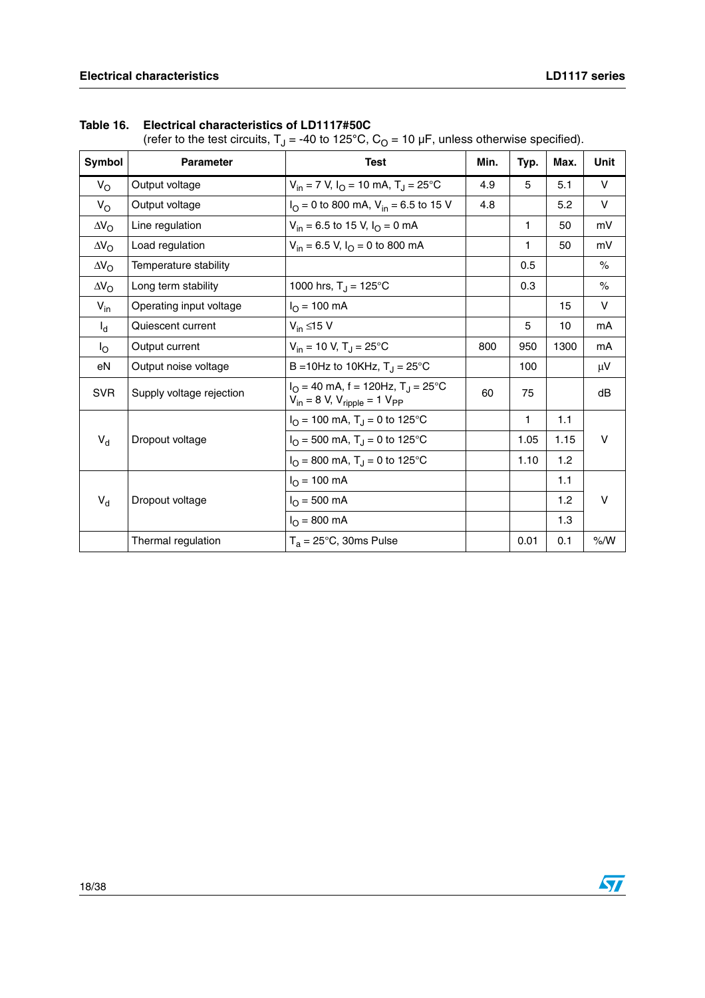| Symbol             | <b>Parameter</b>         | <b>Test</b>                                                                                     | Min. | Typ. | Max. | Unit   |
|--------------------|--------------------------|-------------------------------------------------------------------------------------------------|------|------|------|--------|
| $V_{\rm O}$        | Output voltage           | $V_{in}$ = 7 V, $I_{O}$ = 10 mA, $T_{J}$ = 25°C                                                 | 4.9  | 5    | 5.1  | $\vee$ |
| $V_{\rm O}$        | Output voltage           | $I_{\text{O}}$ = 0 to 800 mA, V <sub>in</sub> = 6.5 to 15 V                                     | 4.8  |      | 5.2  | $\vee$ |
| $\Delta V_{\rm O}$ | Line regulation          | $V_{in}$ = 6.5 to 15 V, $I_{O}$ = 0 mA                                                          |      | 1    | 50   | mV     |
| $\Delta V_{\rm O}$ | Load regulation          | $V_{in}$ = 6.5 V, $I_{O}$ = 0 to 800 mA                                                         |      | 1    | 50   | mV     |
| $\Delta V_{\rm O}$ | Temperature stability    |                                                                                                 |      | 0.5  |      | $\%$   |
| $\Delta V_{\rm O}$ | Long term stability      | 1000 hrs, $T_J = 125^{\circ}C$                                                                  |      | 0.3  |      | $\%$   |
| $V_{in}$           | Operating input voltage  | $I_{O}$ = 100 mA                                                                                |      |      | 15   | $\vee$ |
| $I_d$              | Quiescent current        | $V_{in} \leq 15 V$                                                                              |      | 5    | 10   | mA     |
| $I_{\rm O}$        | Output current           | $V_{in}$ = 10 V, T <sub>J</sub> = 25°C                                                          | 800  | 950  | 1300 | mA     |
| eN                 | Output noise voltage     | B = 10Hz to 10KHz, $T_{\rm J}$ = 25°C                                                           |      | 100  |      | μV     |
| <b>SVR</b>         | Supply voltage rejection | $I_{\Omega}$ = 40 mA, f = 120Hz, T <sub>J</sub> = 25°C<br>$V_{in} = 8 V, V_{ripple} = 1 V_{PP}$ | 60   | 75   |      | dB     |
|                    |                          | $IO = 100$ mA, $TJ = 0$ to 125°C                                                                |      | 1    | 1.1  |        |
| $V_d$              | Dropout voltage          | $IO$ = 500 mA, T <sub>J</sub> = 0 to 125°C                                                      |      | 1.05 | 1.15 | $\vee$ |
|                    |                          | $I_{\Omega}$ = 800 mA, T <sub>J</sub> = 0 to 125 °C                                             |      | 1.10 | 1.2  |        |
|                    |                          | $I_{\Omega}$ = 100 mA                                                                           |      |      | 1.1  |        |
| $V_d$              | Dropout voltage          | $I_{\rm O}$ = 500 mA                                                                            |      |      | 1.2  | $\vee$ |
|                    |                          | $I_{O} = 800$ mA                                                                                |      |      | 1.3  |        |
|                    | Thermal regulation       | $T_a = 25^{\circ}$ C, 30ms Pulse                                                                |      | 0.01 | 0.1  | % /W   |

|  | Table 16. Electrical characteristics of LD1117#50C |  |
|--|----------------------------------------------------|--|
|--|----------------------------------------------------|--|

(refer to the test circuits, T<sub>J</sub> = -40 to 125°C, C<sub>O</sub> = 10 µF, unless otherwise specified).

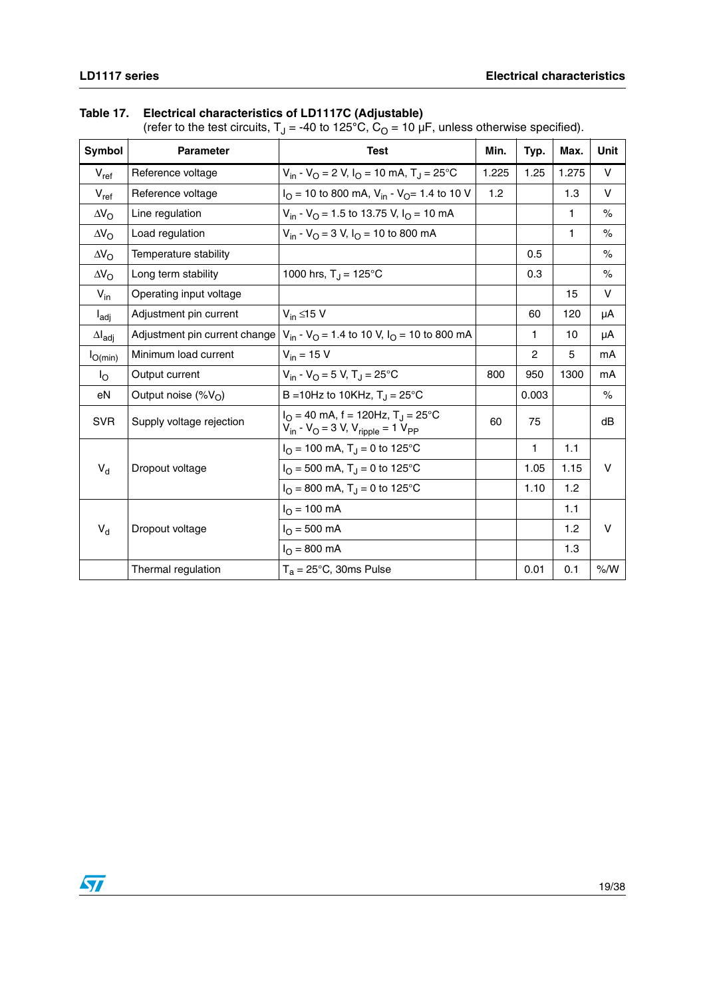#### **Table 17. Electrical characteristics of LD1117C (Adjustable)**

(refer to the test circuits, T<sub>J</sub> = -40 to 125°C, C<sub>O</sub> = 10 µF, unless otherwise specified).

| Symbol                  | <b>Parameter</b>              | <b>Test</b>                                                                                                   | Min.  | Typ.  | Max.  | Unit          |
|-------------------------|-------------------------------|---------------------------------------------------------------------------------------------------------------|-------|-------|-------|---------------|
| $V_{ref}$               | Reference voltage             | $V_{in}$ - $V_{O}$ = 2 V, $I_{O}$ = 10 mA, T <sub>J</sub> = 25°C                                              | 1.225 | 1.25  | 1.275 | $\vee$        |
| $V_{ref}$               | Reference voltage             | $I_{\Omega}$ = 10 to 800 mA, V <sub>in</sub> - V <sub>O</sub> = 1.4 to 10 V                                   | 1.2   |       | 1.3   | v             |
| $\Delta V_{\Omega}$     | Line regulation               | $V_{in}$ - $V_{O}$ = 1.5 to 13.75 V, $I_{O}$ = 10 mA                                                          |       |       | 1     | $\%$          |
| $\Delta V_{\Omega}$     | Load regulation               | $V_{in}$ - $V_{\Omega}$ = 3 V, $I_{\Omega}$ = 10 to 800 mA                                                    |       |       | 1     | $\%$          |
| $\Delta V_{\Omega}$     | Temperature stability         |                                                                                                               |       | 0.5   |       | $\frac{1}{6}$ |
| $\Delta V_{\rm O}$      | Long term stability           | 1000 hrs, $T_J = 125^{\circ}C$                                                                                |       | 0.3   |       | $\%$          |
| $V_{in}$                | Operating input voltage       |                                                                                                               |       |       | 15    | v             |
| $I_{\text{adj}}$        | Adjustment pin current        | $V_{in} \leq 15$ V                                                                                            |       | 60    | 120   | μA            |
| $\Delta I_{\text{adj}}$ | Adjustment pin current change | $V_{in}$ - $V_{O}$ = 1.4 to 10 V, $I_{O}$ = 10 to 800 mA                                                      |       | 1     | 10    | μA            |
| $I_{O(min)}$            | Minimum load current          | $V_{in}$ = 15 V                                                                                               |       | 2     | 5     | mA            |
| $I_{\rm O}$             | Output current                | $V_{in}$ - $V_{O}$ = 5 V, T <sub>J</sub> = 25°C                                                               | 800   | 950   | 1300  | mA            |
| eN                      | Output noise $(\%V_{\cap})$   | B = 10Hz to 10KHz, $T_J = 25^{\circ}C$                                                                        |       | 0.003 |       | $\frac{1}{6}$ |
| <b>SVR</b>              | Supply voltage rejection      | $I_{\Omega}$ = 40 mA, f = 120Hz, T <sub>J</sub> = 25°C<br>$V_{in}$ - $V_{O}$ = 3 V, $V_{righte}$ = 1 $V_{PP}$ | 60    | 75    |       | dB            |
|                         |                               | $IO$ = 100 mA, T <sub>J</sub> = 0 to 125°C                                                                    |       | 1     | 1.1   |               |
| $V_d$                   | Dropout voltage               | $I_{\rm O}$ = 500 mA, T <sub>J</sub> = 0 to 125 °C                                                            |       | 1.05  | 1.15  | v             |
|                         |                               | $I_{\rm O}$ = 800 mA, T <sub>J</sub> = 0 to 125 °C                                                            |       | 1.10  | 1.2   |               |
|                         |                               | $I_{O}$ = 100 mA                                                                                              |       |       | 1.1   |               |
| $V_d$                   | Dropout voltage               | $I_{\Omega} = 500 \text{ mA}$                                                                                 |       |       | 1.2   | $\vee$        |
|                         |                               | $I_{\Omega} = 800 \text{ mA}$                                                                                 |       |       | 1.3   |               |
|                         | Thermal regulation            | $T_a = 25^{\circ}$ C, 30ms Pulse                                                                              |       | 0.01  | 0.1   | % /W          |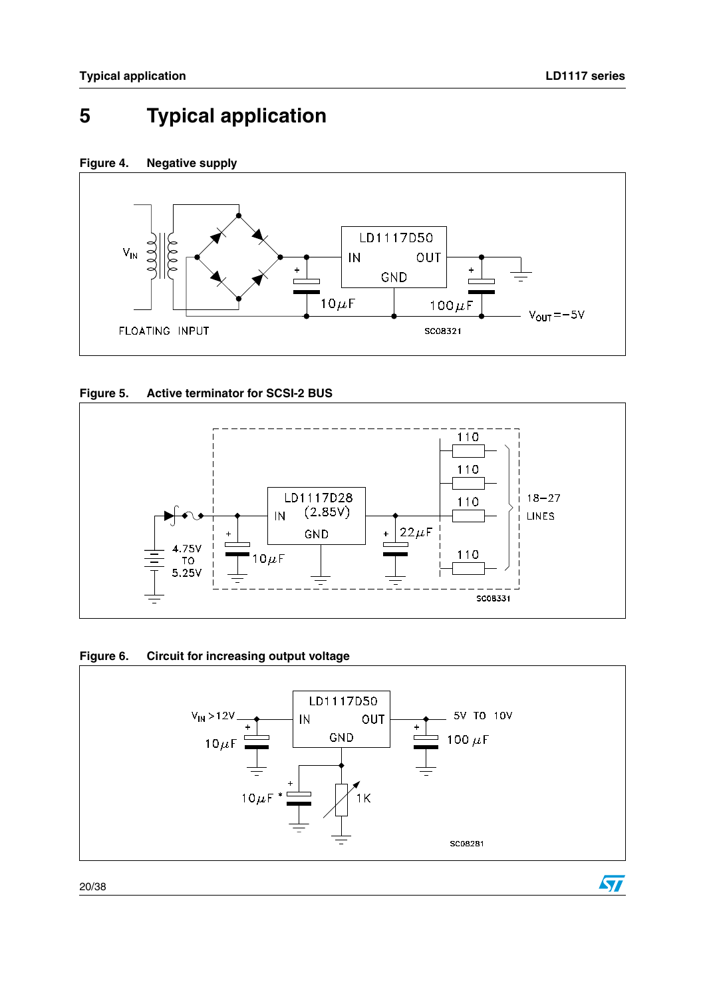$\sqrt{2}$ 

# <span id="page-19-0"></span>**5 Typical application**











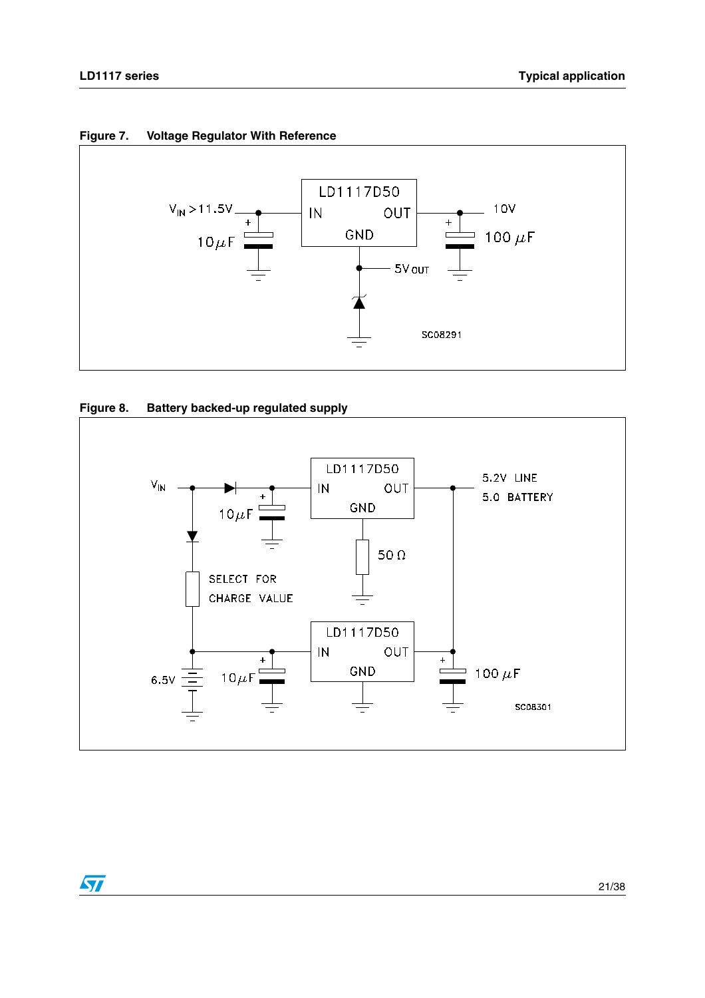







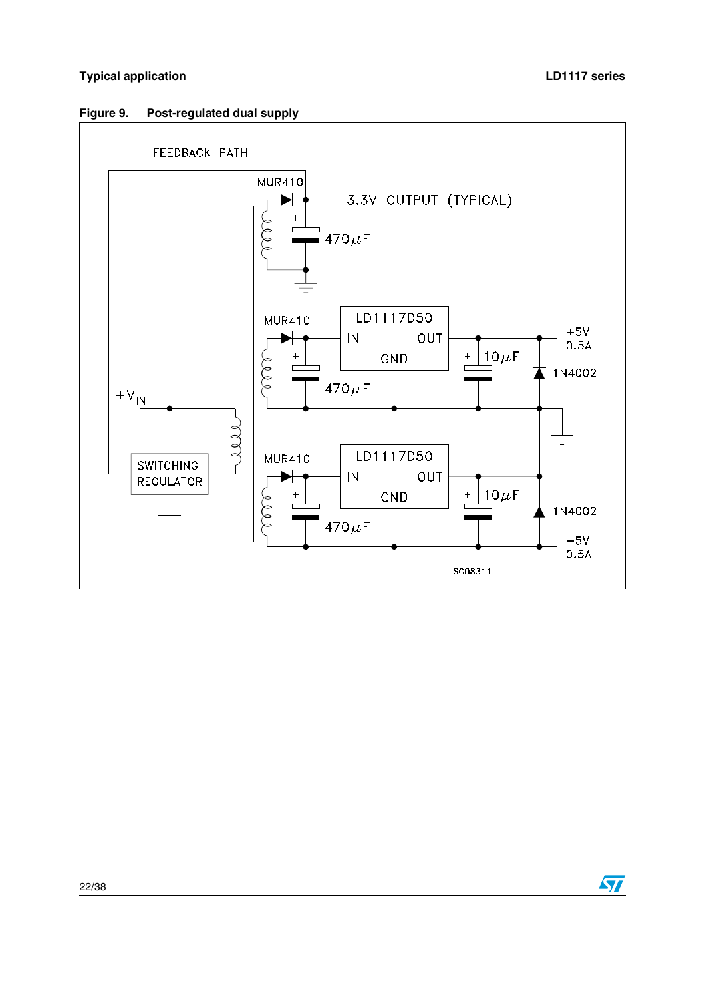

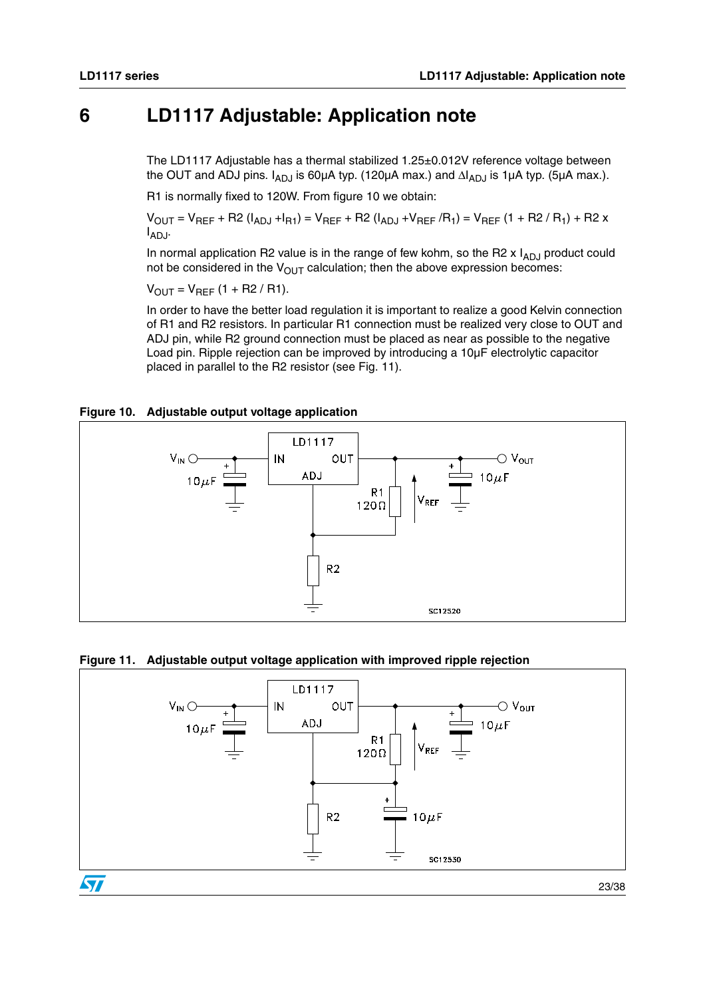## <span id="page-22-0"></span>**6 LD1117 Adjustable: Application note**

The LD1117 Adjustable has a thermal stabilized 1.25±0.012V reference voltage between the OUT and ADJ pins.  $I_{AD,1}$  is 60µA typ. (120µA max.) and  $\Delta I_{AD,1}$  is 1µA typ. (5µA max.).

R1 is normally fixed to 120W. From figure 10 we obtain:

 $V_{OUT} = V_{REF} + R2 (I_{ADJ} + I_{R1}) = V_{REF} + R2 (I_{ADJ} + V_{REF}/R_{1}) = V_{REF} (1 + R2 / R_{1}) + R2 x$  $I_{ADJ}$ .

In normal application R2 value is in the range of few kohm, so the R2  $x$  I<sub>ADJ</sub> product could not be considered in the  $V_{OUT}$  calculation; then the above expression becomes:

 $V_{OUT} = V_{REF} (1 + R2 / R1).$ 

In order to have the better load regulation it is important to realize a good Kelvin connection of R1 and R2 resistors. In particular R1 connection must be realized very close to OUT and ADJ pin, while R2 ground connection must be placed as near as possible to the negative Load pin. Ripple rejection can be improved by introducing a 10µF electrolytic capacitor placed in parallel to the R2 resistor (see Fig. 11).

#### **Figure 10. Adjustable output voltage application**



#### **Figure 11. Adjustable output voltage application with improved ripple rejection**



23/38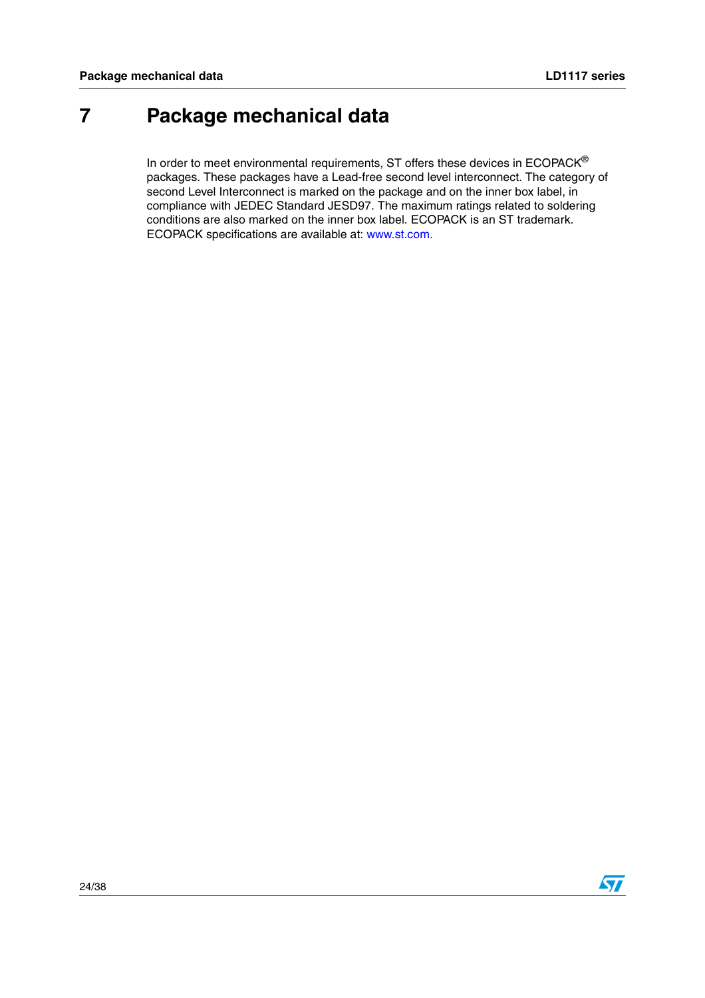## <span id="page-23-0"></span>**7 Package mechanical data**

In order to meet environmental requirements, ST offers these devices in  $ECOPACK^{\circledast}$ packages. These packages have a Lead-free second level interconnect. The category of second Level Interconnect is marked on the package and on the inner box label, in compliance with JEDEC Standard JESD97. The maximum ratings related to soldering conditions are also marked on the inner box label. ECOPACK is an ST trademark. ECOPACK specifications are available at: www.st.com.

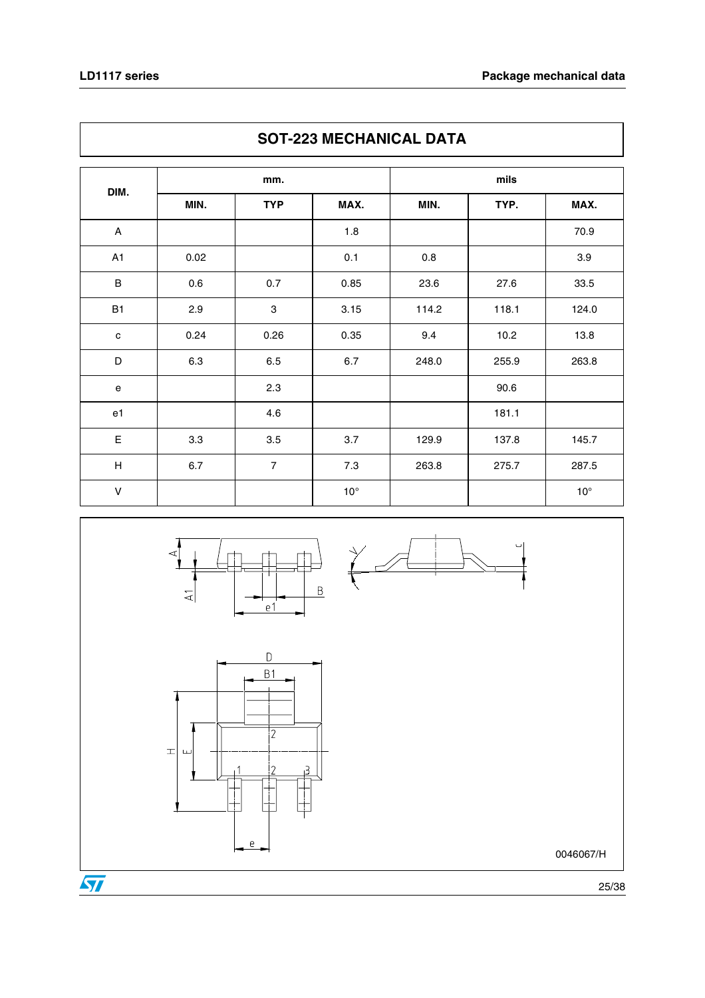$\overline{\phantom{a}}$ 

|                           | SOT-223 MECHANICAL DATA |                |              |       |       |              |  |  |  |
|---------------------------|-------------------------|----------------|--------------|-------|-------|--------------|--|--|--|
|                           | mm.                     |                |              |       |       |              |  |  |  |
| DIM.                      | MIN.                    | <b>TYP</b>     | MAX.         | MIN.  | TYP.  | MAX.         |  |  |  |
| $\mathsf{A}$              |                         |                | 1.8          |       |       | 70.9         |  |  |  |
| A1                        | 0.02                    |                | 0.1          | 0.8   |       | 3.9          |  |  |  |
| $\sf B$                   | 0.6                     | 0.7            | 0.85         | 23.6  | 27.6  | 33.5         |  |  |  |
| <b>B1</b>                 | 2.9                     | 3              | 3.15         | 114.2 | 118.1 | 124.0        |  |  |  |
| $\mathbf c$               | 0.24                    | 0.26           | 0.35         | 9.4   | 10.2  | 13.8         |  |  |  |
| D                         | 6.3                     | 6.5            | 6.7          | 248.0 | 255.9 | 263.8        |  |  |  |
| ${\bf e}$                 |                         | 2.3            |              |       | 90.6  |              |  |  |  |
| e1                        |                         | 4.6            |              |       | 181.1 |              |  |  |  |
| E                         | 3.3                     | 3.5            | 3.7          | 129.9 | 137.8 | 145.7        |  |  |  |
| $\boldsymbol{\mathsf{H}}$ | 6.7                     | $\overline{7}$ | 7.3          | 263.8 | 275.7 | 287.5        |  |  |  |
| $\vee$                    |                         |                | $10^{\circ}$ |       |       | $10^{\circ}$ |  |  |  |









25/38

0046067/H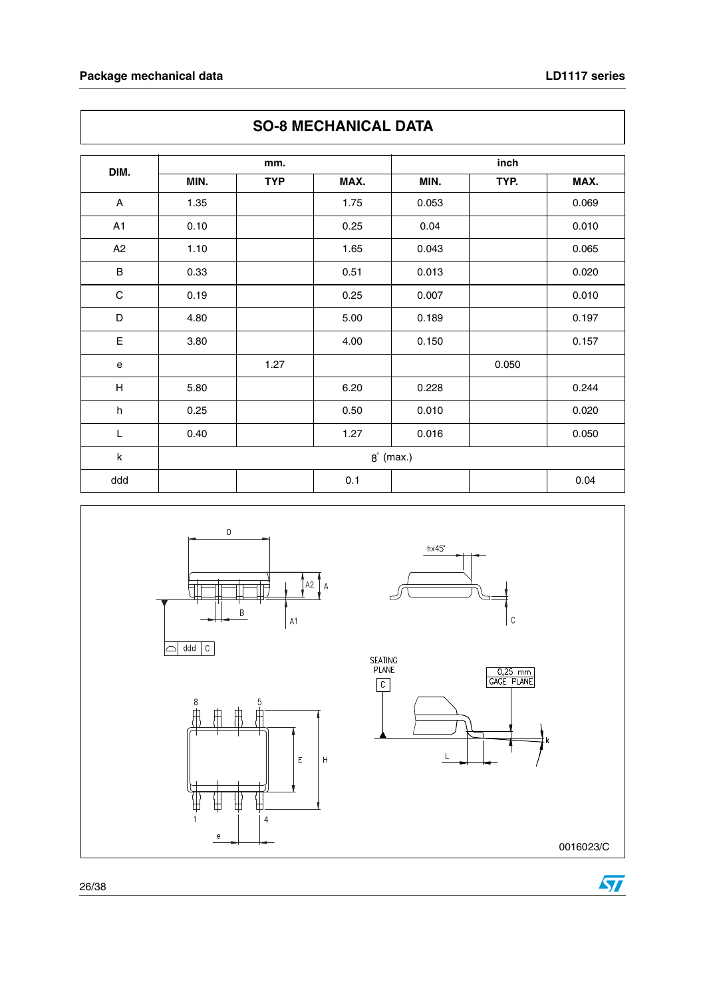### **Package mechanical data CONSERVIATES LD1117** series

| DIM.        |      | mm.        |      |             | inch  |       |
|-------------|------|------------|------|-------------|-------|-------|
|             | MIN. | <b>TYP</b> | MAX. | MIN.        | TYP.  | MAX.  |
| A           | 1.35 |            | 1.75 | 0.053       |       | 0.069 |
| A1          | 0.10 |            | 0.25 | 0.04        |       | 0.010 |
| A2          | 1.10 |            | 1.65 | 0.043       |       | 0.065 |
| $\sf B$     | 0.33 |            | 0.51 | 0.013       |       | 0.020 |
| $\mathbf C$ | 0.19 |            | 0.25 | 0.007       |       | 0.010 |
| D           | 4.80 |            | 5.00 | 0.189       |       | 0.197 |
| $\mathsf E$ | 3.80 |            | 4.00 | 0.150       |       | 0.157 |
| $\mathbf e$ |      | 1.27       |      |             | 0.050 |       |
| H           | 5.80 |            | 6.20 | 0.228       |       | 0.244 |
| h           | 0.25 |            | 0.50 | 0.010       |       | 0.020 |
| L           | 0.40 |            | 1.27 | 0.016       |       | 0.050 |
| k           |      |            |      | $8°$ (max.) |       |       |
| ddd         |      |            | 0.1  |             |       | 0.04  |





0016023/C

 $\epsilon$ 

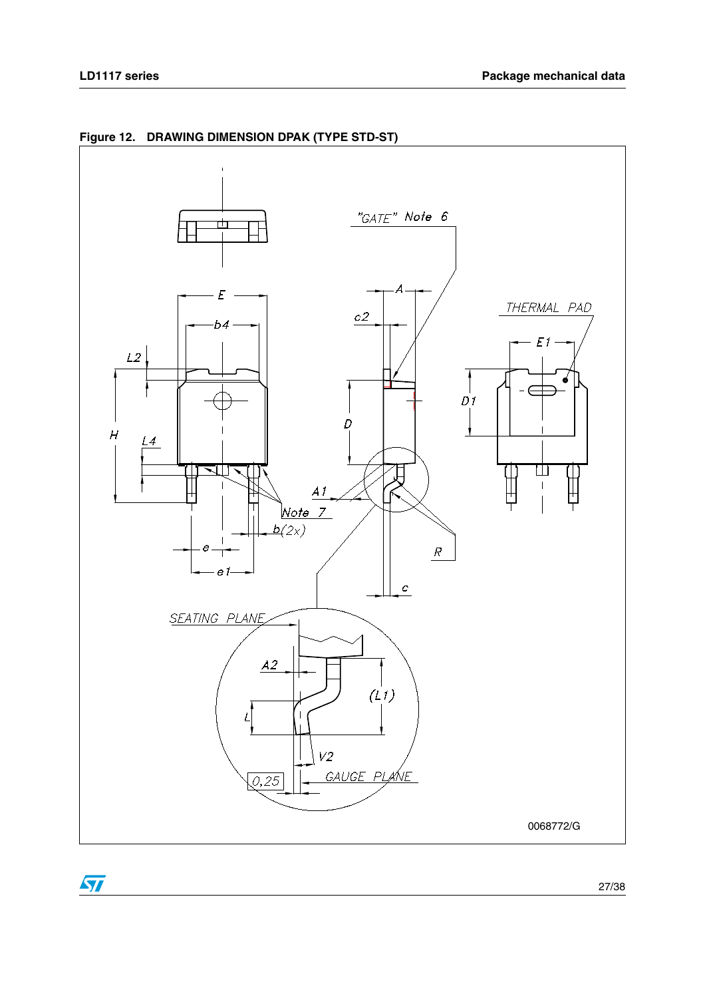

**Figure 12. DRAWING DIMENSION DPAK (TYPE STD-ST)**

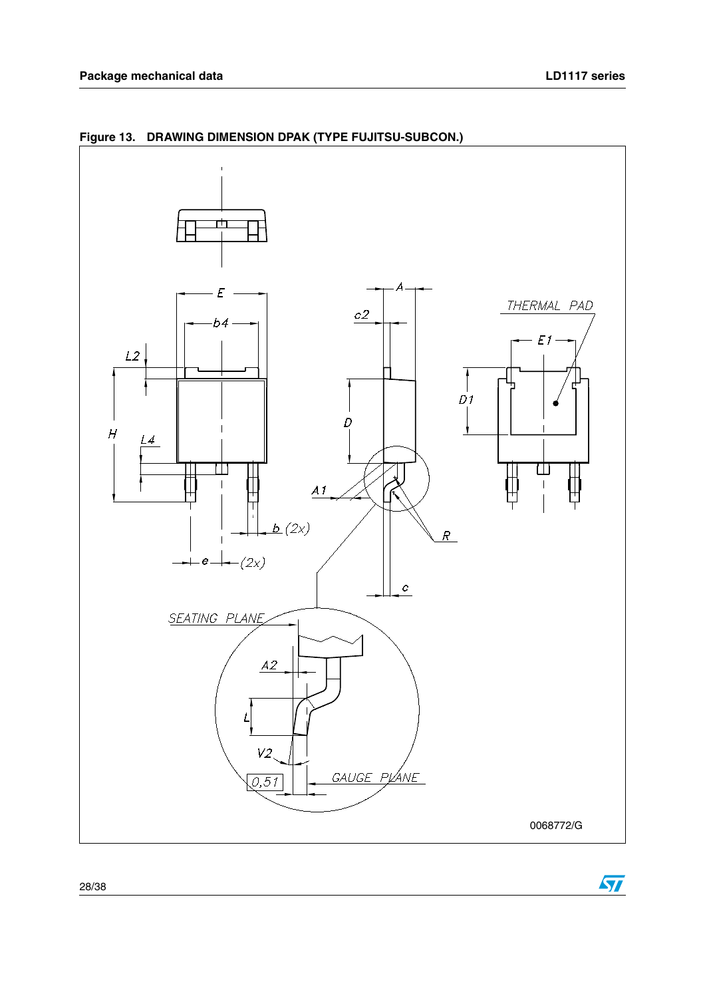

**Figure 13. DRAWING DIMENSION DPAK (TYPE FUJITSU-SUBCON.)**

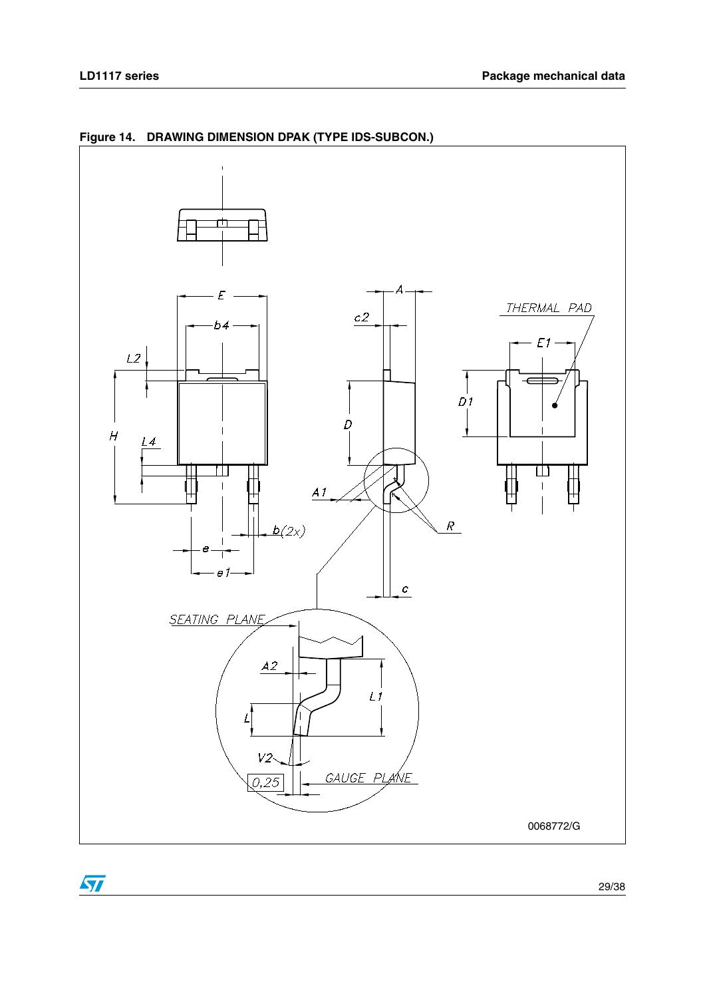

**Figure 14. DRAWING DIMENSION DPAK (TYPE IDS-SUBCON.)**

 $\sqrt{2}$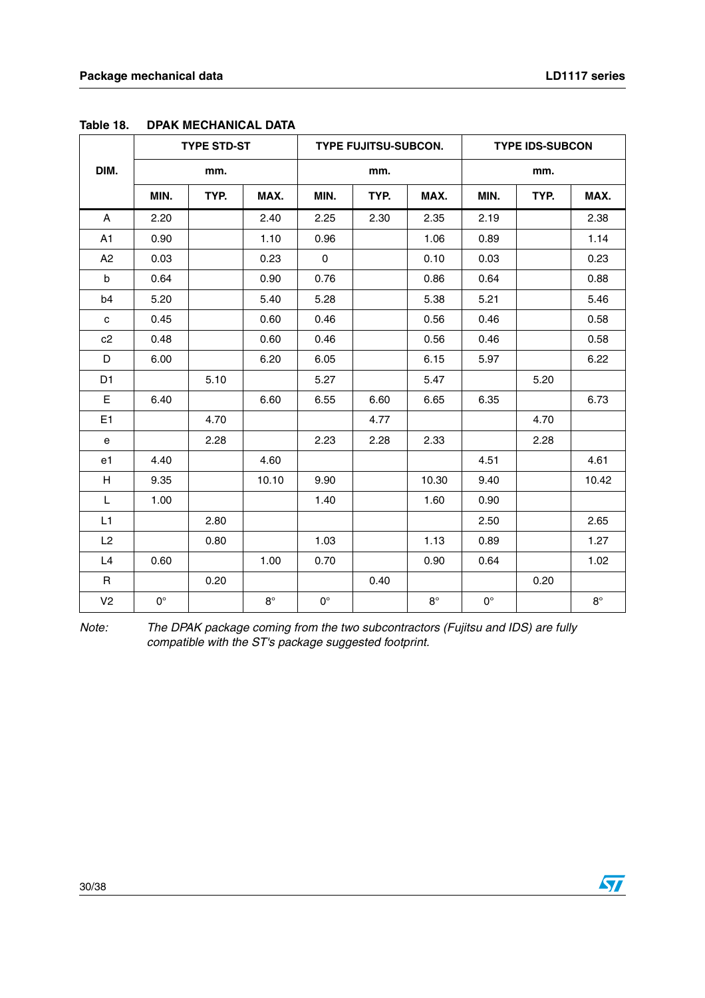|                |             | <b>TYPE STD-ST</b> |             | <b>TYPE FUJITSU-SUBCON.</b> |      |             | <b>TYPE IDS-SUBCON</b> |      |             |  |
|----------------|-------------|--------------------|-------------|-----------------------------|------|-------------|------------------------|------|-------------|--|
| DIM.           |             | mm.                |             |                             | mm.  |             |                        | mm.  |             |  |
|                | MIN.        | TYP.               | MAX.        | MIN.                        | TYP. | MAX.        | MIN.                   | TYP. | MAX.        |  |
| A              | 2.20        |                    | 2.40        | 2.25                        | 2.30 | 2.35        | 2.19                   |      | 2.38        |  |
| A1             | 0.90        |                    | 1.10        | 0.96                        |      | 1.06        | 0.89                   |      | 1.14        |  |
| A2             | 0.03        |                    | 0.23        | $\mathbf 0$                 |      | 0.10        | 0.03                   |      | 0.23        |  |
| b              | 0.64        |                    | 0.90        | 0.76                        |      | 0.86        | 0.64                   |      | 0.88        |  |
| b4             | 5.20        |                    | 5.40        | 5.28                        |      | 5.38        | 5.21                   |      | 5.46        |  |
| c              | 0.45        |                    | 0.60        | 0.46                        |      | 0.56        | 0.46                   |      | 0.58        |  |
| c2             | 0.48        |                    | 0.60        | 0.46                        |      | 0.56        | 0.46                   |      | 0.58        |  |
| D              | 6.00        |                    | 6.20        | 6.05                        |      | 6.15        | 5.97                   |      | 6.22        |  |
| D <sub>1</sub> |             | 5.10               |             | 5.27                        |      | 5.47        |                        | 5.20 |             |  |
| E              | 6.40        |                    | 6.60        | 6.55                        | 6.60 | 6.65        | 6.35                   |      | 6.73        |  |
| E <sub>1</sub> |             | 4.70               |             |                             | 4.77 |             |                        | 4.70 |             |  |
| е              |             | 2.28               |             | 2.23                        | 2.28 | 2.33        |                        | 2.28 |             |  |
| e1             | 4.40        |                    | 4.60        |                             |      |             | 4.51                   |      | 4.61        |  |
| H              | 9.35        |                    | 10.10       | 9.90                        |      | 10.30       | 9.40                   |      | 10.42       |  |
| L              | 1.00        |                    |             | 1.40                        |      | 1.60        | 0.90                   |      |             |  |
| L1             |             | 2.80               |             |                             |      |             | 2.50                   |      | 2.65        |  |
| L <sub>2</sub> |             | 0.80               |             | 1.03                        |      | 1.13        | 0.89                   |      | 1.27        |  |
| L4             | 0.60        |                    | 1.00        | 0.70                        |      | 0.90        | 0.64                   |      | 1.02        |  |
| R              |             | 0.20               |             |                             | 0.40 |             |                        | 0.20 |             |  |
| V <sub>2</sub> | $0^{\circ}$ |                    | $8^{\circ}$ | $0^{\circ}$                 |      | $8^{\circ}$ | $\mathbf{0}^{\circ}$   |      | $8^{\circ}$ |  |

**Table 18. DPAK MECHANICAL DATA**

Note: The DPAK package coming from the two subcontractors (Fujitsu and IDS) are fully compatible with the ST's package suggested footprint.

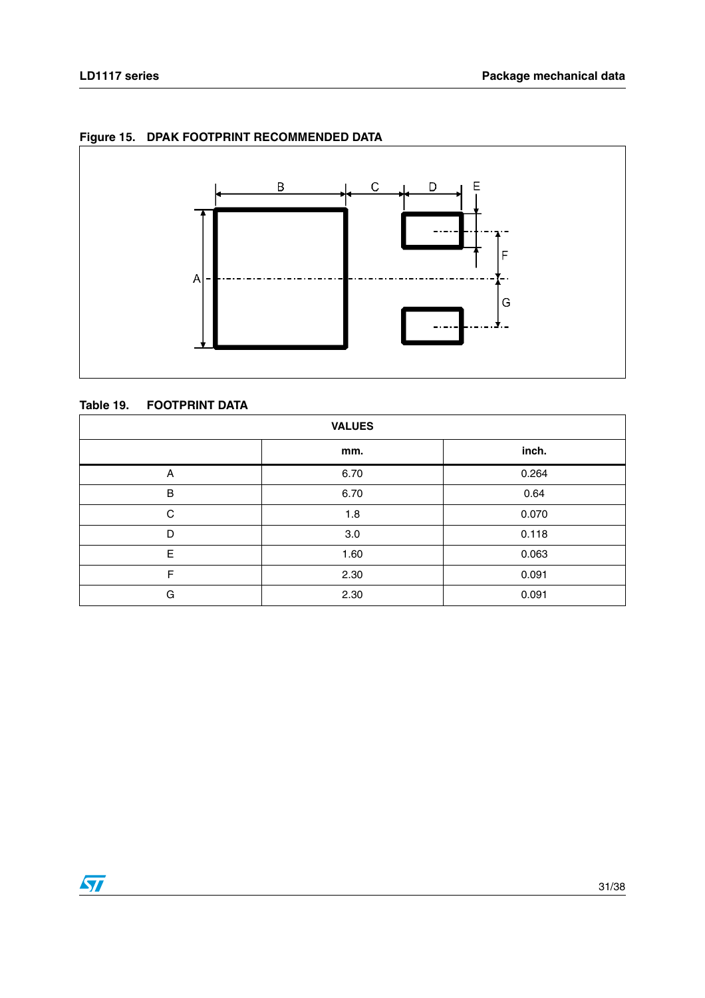

### **Figure 15. DPAK FOOTPRINT RECOMMENDED DATA**

#### **Table 19. FOOTPRINT DATA**

| <b>VALUES</b> |      |       |  |  |  |  |
|---------------|------|-------|--|--|--|--|
|               | mm.  | inch. |  |  |  |  |
| Α             | 6.70 | 0.264 |  |  |  |  |
| B             | 6.70 | 0.64  |  |  |  |  |
| C             | 1.8  | 0.070 |  |  |  |  |
| D             | 3.0  | 0.118 |  |  |  |  |
| E             | 1.60 | 0.063 |  |  |  |  |
| F             | 2.30 | 0.091 |  |  |  |  |
| G             | 2.30 | 0.091 |  |  |  |  |

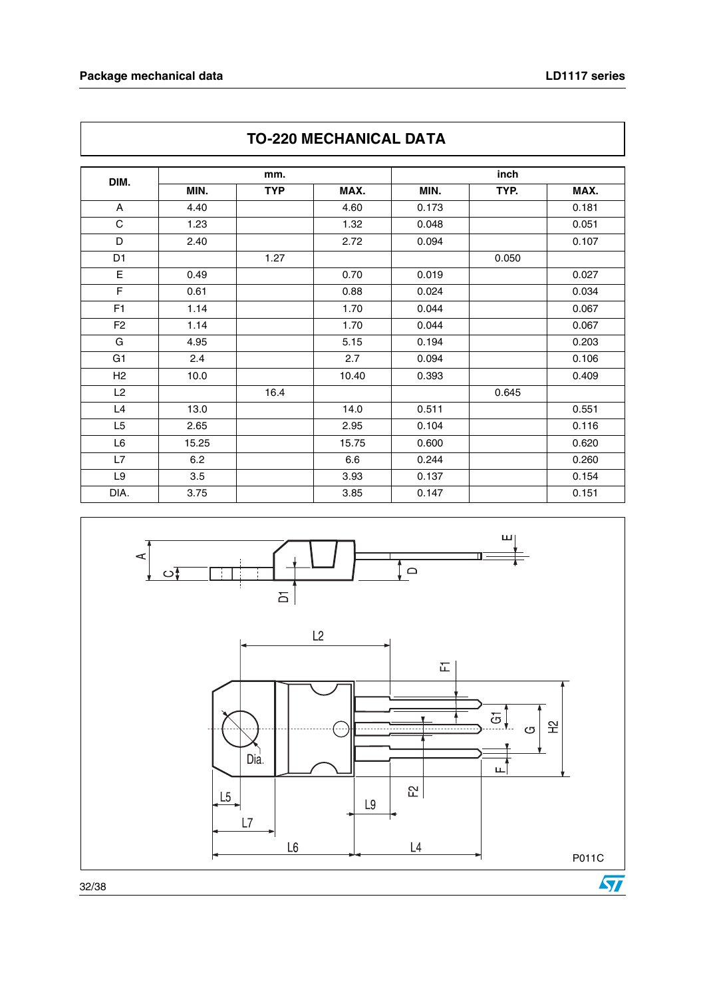$\overline{\phantom{a}}$ 

| <b>IU-ZZU MEUNANIUAL DA I A</b> |       |            |       |       |       |       |
|---------------------------------|-------|------------|-------|-------|-------|-------|
|                                 |       | mm.        |       |       |       |       |
| DIM.                            | MIN.  | <b>TYP</b> | MAX.  | MIN.  | TYP.  | MAX.  |
| A                               | 4.40  |            | 4.60  | 0.173 |       | 0.181 |
| C                               | 1.23  |            | 1.32  | 0.048 |       | 0.051 |
| D                               | 2.40  |            | 2.72  | 0.094 |       | 0.107 |
| D <sub>1</sub>                  |       | 1.27       |       |       | 0.050 |       |
| E                               | 0.49  |            | 0.70  | 0.019 |       | 0.027 |
| F                               | 0.61  |            | 0.88  | 0.024 |       | 0.034 |
| F <sub>1</sub>                  | 1.14  |            | 1.70  | 0.044 |       | 0.067 |
| F <sub>2</sub>                  | 1.14  |            | 1.70  | 0.044 |       | 0.067 |
| G                               | 4.95  |            | 5.15  | 0.194 |       | 0.203 |
| G1                              | 2.4   |            | 2.7   | 0.094 |       | 0.106 |
| H2                              | 10.0  |            | 10.40 | 0.393 |       | 0.409 |
| L2                              |       | 16.4       |       |       | 0.645 |       |
| L4                              | 13.0  |            | 14.0  | 0.511 |       | 0.551 |
| L <sub>5</sub>                  | 2.65  |            | 2.95  | 0.104 |       | 0.116 |
| L6                              | 15.25 |            | 15.75 | 0.600 |       | 0.620 |
| L7                              | 6.2   |            | 6.6   | 0.244 |       | 0.260 |
| L9                              | 3.5   |            | 3.93  | 0.137 |       | 0.154 |
| DIA.                            | 3.75  |            | 3.85  | 0.147 |       | 0.151 |



### **TO-220 MECHANICAL DATA**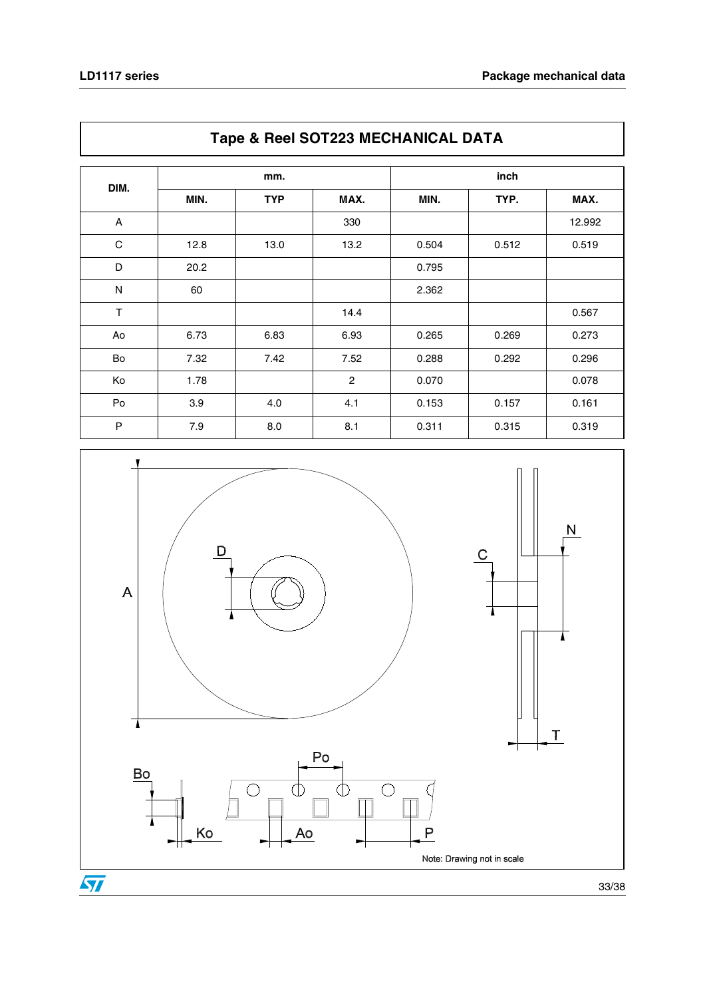| Tape & Heel OOTZZO MEOHANIOAL DATA |      |            |                |       |       |        |
|------------------------------------|------|------------|----------------|-------|-------|--------|
| DIM.                               |      | mm.        |                |       |       |        |
|                                    | MIN. | <b>TYP</b> | MAX.           | MIN.  | TYP.  | MAX.   |
| A                                  |      |            | 330            |       |       | 12.992 |
| С                                  | 12.8 | 13.0       | 13.2           | 0.504 | 0.512 | 0.519  |
| D                                  | 20.2 |            |                | 0.795 |       |        |
| ${\sf N}$                          | 60   |            |                | 2.362 |       |        |
| T                                  |      |            | 14.4           |       |       | 0.567  |
| Ao                                 | 6.73 | 6.83       | 6.93           | 0.265 | 0.269 | 0.273  |
| Bo                                 | 7.32 | 7.42       | 7.52           | 0.288 | 0.292 | 0.296  |
| Ko                                 | 1.78 |            | $\overline{c}$ | 0.070 |       | 0.078  |
| Po                                 | 3.9  | 4.0        | 4.1            | 0.153 | 0.157 | 0.161  |
| P                                  | 7.9  | 8.0        | 8.1            | 0.311 | 0.315 | 0.319  |



### **Tape & Reel SOT223 MECHANICAL DATA**

33/38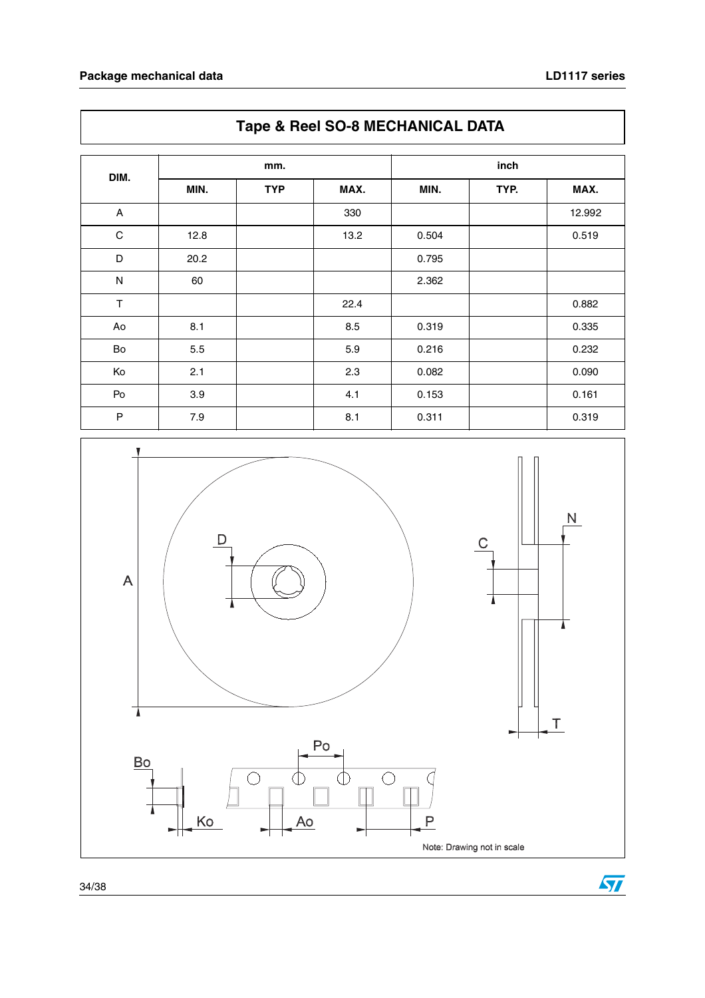$\sqrt{2}$ 

|                           | Tape & Reel SO-8 MECHANICAL DATA |            |      |       |      |        |  |
|---------------------------|----------------------------------|------------|------|-------|------|--------|--|
|                           |                                  | mm.        |      | inch  |      |        |  |
| DIM.                      | MIN.                             | <b>TYP</b> | MAX. | MIN.  | TYP. | MAX.   |  |
| $\boldsymbol{\mathsf{A}}$ |                                  |            | 330  |       |      | 12.992 |  |
| $\mathbf C$               | 12.8                             |            | 13.2 | 0.504 |      | 0.519  |  |
| D                         | 20.2                             |            |      | 0.795 |      |        |  |
| ${\sf N}$                 | 60                               |            |      | 2.362 |      |        |  |
| T                         |                                  |            | 22.4 |       |      | 0.882  |  |
| Ao                        | 8.1                              |            | 8.5  | 0.319 |      | 0.335  |  |
| Bo                        | 5.5                              |            | 5.9  | 0.216 |      | 0.232  |  |
| Ko                        | 2.1                              |            | 2.3  | 0.082 |      | 0.090  |  |
| Po                        | 3.9                              |            | 4.1  | 0.153 |      | 0.161  |  |
| P                         | 7.9                              |            | 8.1  | 0.311 |      | 0.319  |  |

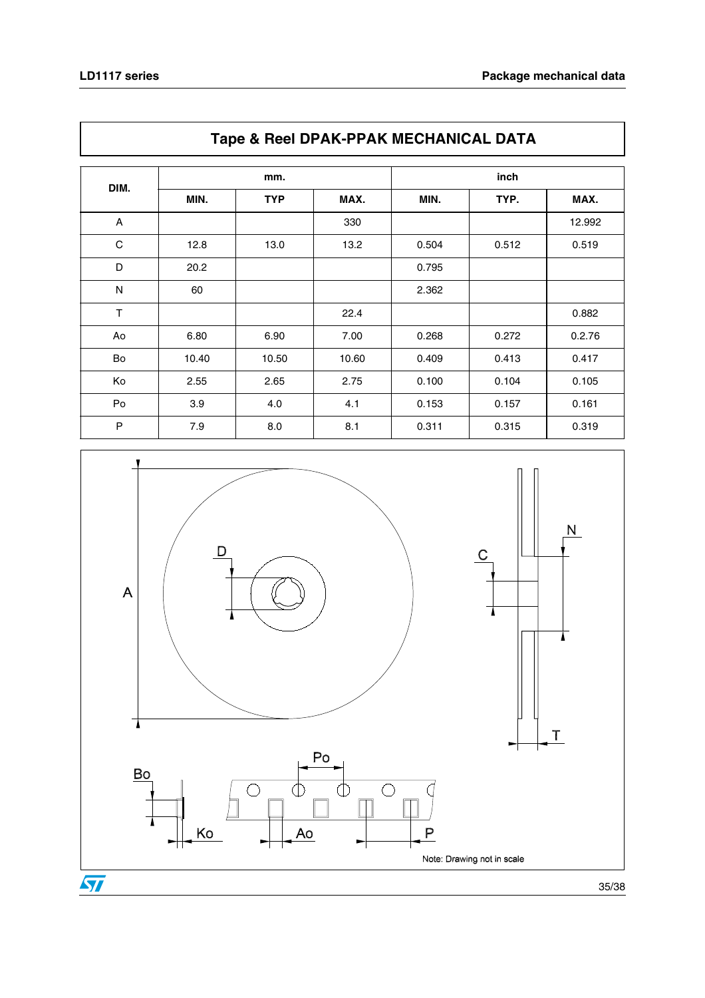| Tape & Hech Dr ART FRAMEOHAMOAL DATA |       |            |       |       |       |        |
|--------------------------------------|-------|------------|-------|-------|-------|--------|
| DIM.                                 |       | mm.        |       |       |       |        |
|                                      | MIN.  | <b>TYP</b> | MAX.  | MIN.  | TYP.  | MAX.   |
| A                                    |       |            | 330   |       |       | 12.992 |
| C                                    | 12.8  | 13.0       | 13.2  | 0.504 | 0.512 | 0.519  |
| D                                    | 20.2  |            |       | 0.795 |       |        |
| N                                    | 60    |            |       | 2.362 |       |        |
| $\mathsf T$                          |       |            | 22.4  |       |       | 0.882  |
| Ao                                   | 6.80  | 6.90       | 7.00  | 0.268 | 0.272 | 0.2.76 |
| Bo                                   | 10.40 | 10.50      | 10.60 | 0.409 | 0.413 | 0.417  |
| Ko                                   | 2.55  | 2.65       | 2.75  | 0.100 | 0.104 | 0.105  |
| Po                                   | 3.9   | 4.0        | 4.1   | 0.153 | 0.157 | 0.161  |
| P                                    | 7.9   | 8.0        | 8.1   | 0.311 | 0.315 | 0.319  |



### **Tape & Reel DPAK-PPAK MECHANICAL DATA**

35/38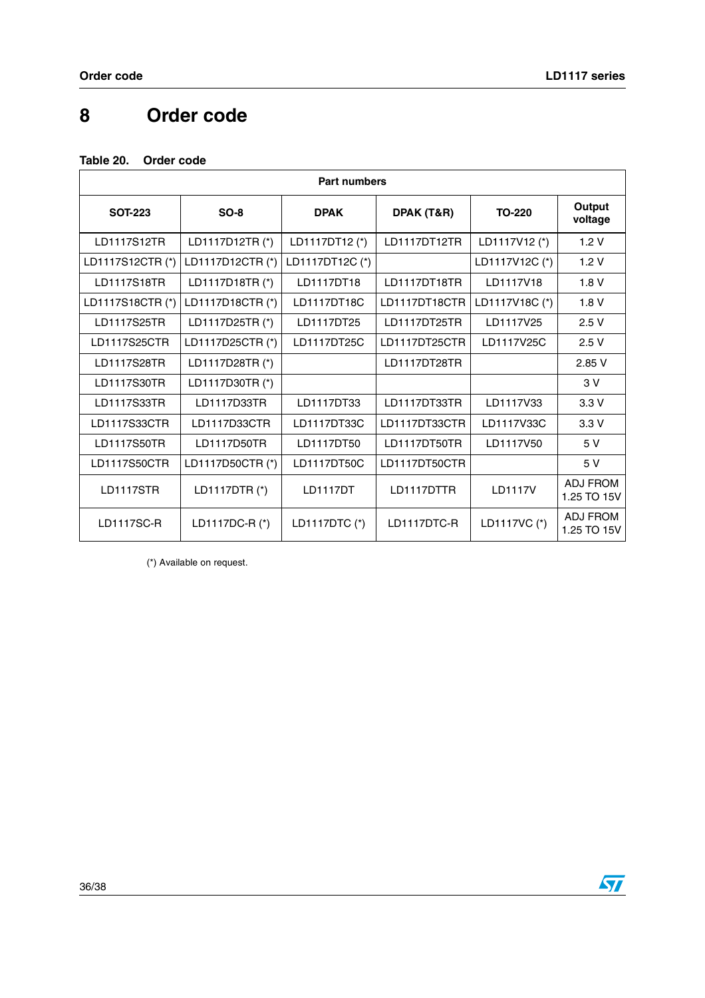# <span id="page-35-0"></span>**8 Order code**

#### **Table 20. Order code**

| <b>Part numbers</b> |                  |                 |               |                |                         |  |  |
|---------------------|------------------|-----------------|---------------|----------------|-------------------------|--|--|
| <b>SOT-223</b>      | $SO-8$           | <b>DPAK</b>     | DPAK (T&R)    | <b>TO-220</b>  | Output<br>voltage       |  |  |
| LD1117S12TR         | LD1117D12TR (*)  | LD1117DT12 (*)  | LD1117DT12TR  | LD1117V12 (*)  | 1.2V                    |  |  |
| LD1117S12CTR(*)     | LD1117D12CTR(*)  | LD1117DT12C (*) |               | LD1117V12C (*) | 1.2V                    |  |  |
| LD1117S18TR         | LD1117D18TR (*)  | LD1117DT18      | LD1117DT18TR  | LD1117V18      | 1.8V                    |  |  |
| LD1117S18CTR(*)     | LD1117D18CTR(*)  | LD1117DT18C     | LD1117DT18CTR | LD1117V18C (*) | 1.8V                    |  |  |
| LD1117S25TR         | LD1117D25TR (*)  | LD1117DT25      | LD1117DT25TR  | LD1117V25      | 2.5V                    |  |  |
| LD1117S25CTR        | LD1117D25CTR(*)  | LD1117DT25C     | LD1117DT25CTR | LD1117V25C     | 2.5V                    |  |  |
| LD1117S28TR         | LD1117D28TR (*)  |                 | LD1117DT28TR  |                | 2.85V                   |  |  |
| LD1117S30TR         | LD1117D30TR (*)  |                 |               |                | 3 V                     |  |  |
| LD1117S33TR         | LD1117D33TR      | LD1117DT33      | LD1117DT33TR  | LD1117V33      | 3.3V                    |  |  |
| LD1117S33CTR        | LD1117D33CTR     | LD1117DT33C     | LD1117DT33CTR | LD1117V33C     | 3.3V                    |  |  |
| LD1117S50TR         | LD1117D50TR      | LD1117DT50      | LD1117DT50TR  | LD1117V50      | 5 V                     |  |  |
| LD1117S50CTR        | LD1117D50CTR (*) | LD1117DT50C     | LD1117DT50CTR |                | 5 V                     |  |  |
| <b>LD1117STR</b>    | LD1117DTR(*)     | <b>LD1117DT</b> | LD1117DTTR    | <b>LD1117V</b> | ADJ FROM<br>1.25 TO 15V |  |  |
| LD1117SC-R          | LD1117DC-R (*)   | LD1117DTC (*)   | LD1117DTC-R   | LD1117VC (*)   | ADJ FROM<br>1.25 TO 15V |  |  |

(\*) Available on request.

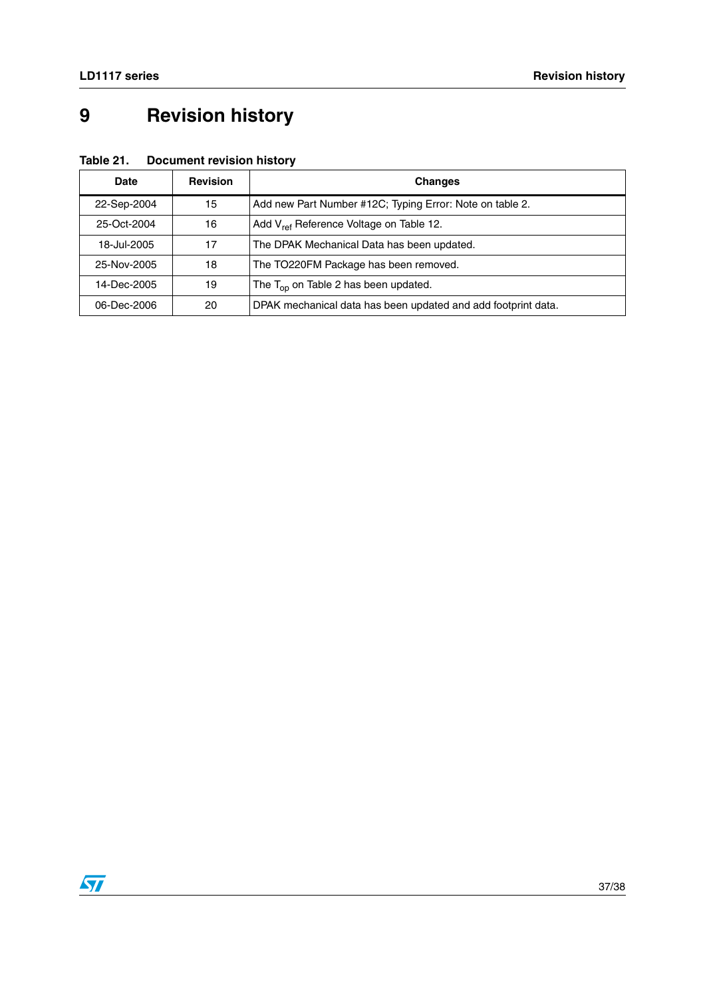# <span id="page-36-0"></span>**9 Revision history**

| Date        | <b>Revision</b> | <b>Changes</b>                                                |
|-------------|-----------------|---------------------------------------------------------------|
| 22-Sep-2004 | 15              | Add new Part Number #12C; Typing Error: Note on table 2.      |
| 25-Oct-2004 | 16              | Add V <sub>ref</sub> Reference Voltage on Table 12.           |
| 18-Jul-2005 | 17              | The DPAK Mechanical Data has been updated.                    |
| 25-Nov-2005 | 18              | The TO220FM Package has been removed.                         |
| 14-Dec-2005 | 19              | The $T_{op}$ on Table 2 has been updated.                     |
| 06-Dec-2006 | 20              | DPAK mechanical data has been updated and add footprint data. |

### **Table 21. Document revision history**